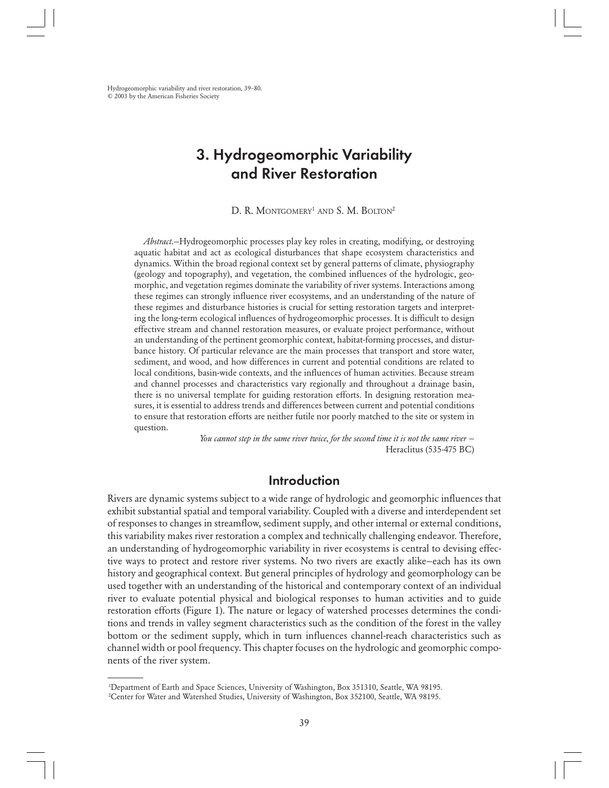Hydrogeomorphic variability and river restoration, 39–80. © 2003 by the American Fisheries Society

# 3. Hydrogeomorphic Variability and River Restoration

D. R. MONTGOMERY<sup>1</sup> AND S. M. BOLTON<sup>2</sup>

*Abstract*.—Hydrogeomorphic processes play key roles in creating, modifying, or destroying aquatic habitat and act as ecological disturbances that shape ecosystem characteristics and dynamics. Within the broad regional context set by general patterns of climate, physiography (geology and topography), and vegetation, the combined influences of the hydrologic, geomorphic, and vegetation regimes dominate the variability of river systems. Interactions among these regimes can strongly influence river ecosystems, and an understanding of the nature of these regimes and disturbance histories is crucial for setting restoration targets and interpreting the long-term ecological influences of hydrogeomorphic processes. It is difficult to design effective stream and channel restoration measures, or evaluate project performance, without an understanding of the pertinent geomorphic context, habitat-forming processes, and disturbance history. Of particular relevance are the main processes that transport and store water, sediment, and wood, and how differences in current and potential conditions are related to local conditions, basin-wide contexts, and the influences of human activities. Because stream and channel processes and characteristics vary regionally and throughout a drainage basin, there is no universal template for guiding restoration efforts. In designing restoration measures, it is essential to address trends and differences between current and potential conditions to ensure that restoration efforts are neither futile nor poorly matched to the site or system in question.

> *You cannot step in the same river twice, for the second time it is not the same river* — Heraclitus (535-475 BC)

# Introduction

Rivers are dynamic systems subject to a wide range of hydrologic and geomorphic influences that exhibit substantial spatial and temporal variability. Coupled with a diverse and interdependent set of responses to changes in streamflow, sediment supply, and other internal or external conditions, this variability makes river restoration a complex and technically challenging endeavor. Therefore, an understanding of hydrogeomorphic variability in river ecosystems is central to devising effective ways to protect and restore river systems. No two rivers are exactly alike—each has its own history and geographical context. But general principles of hydrology and geomorphology can be used together with an understanding of the historical and contemporary context of an individual river to evaluate potential physical and biological responses to human activities and to guide restoration efforts (Figure 1). The nature or legacy of watershed processes determines the conditions and trends in valley segment characteristics such as the condition of the forest in the valley bottom or the sediment supply, which in turn influences channel-reach characteristics such as channel width or pool frequency. This chapter focuses on the hydrologic and geomorphic components of the river system.

<sup>1</sup> Department of Earth and Space Sciences, University of Washington, Box 351310, Seattle, WA 98195. 2 Center for Water and Watershed Studies, University of Washington, Box 352100, Seattle, WA 98195.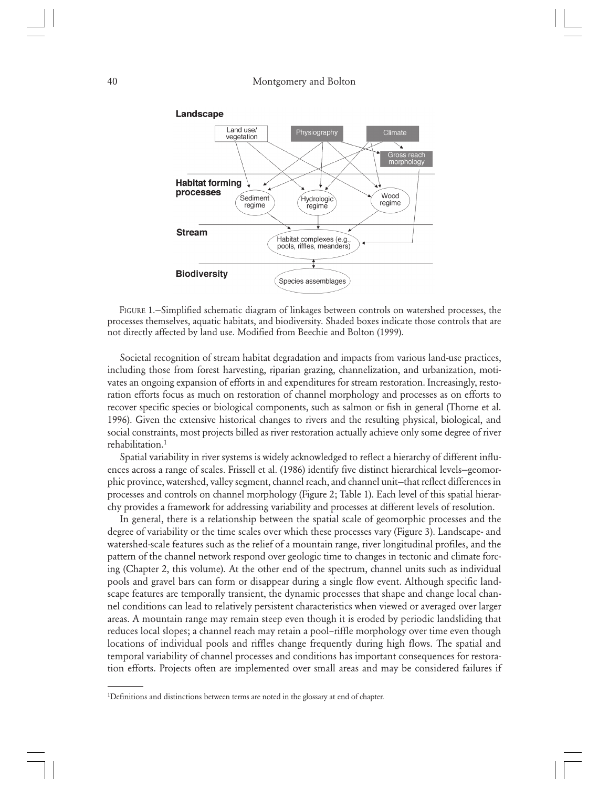

FIGURE 1.—Simplified schematic diagram of linkages between controls on watershed processes, the processes themselves, aquatic habitats, and biodiversity. Shaded boxes indicate those controls that are not directly affected by land use. Modified from Beechie and Bolton (1999).

Societal recognition of stream habitat degradation and impacts from various land-use practices, including those from forest harvesting, riparian grazing, channelization, and urbanization, motivates an ongoing expansion of efforts in and expenditures for stream restoration. Increasingly, restoration efforts focus as much on restoration of channel morphology and processes as on efforts to recover specific species or biological components, such as salmon or fish in general (Thorne et al. 1996). Given the extensive historical changes to rivers and the resulting physical, biological, and social constraints, most projects billed as river restoration actually achieve only some degree of river rehabilitation.<sup>1</sup>

Spatial variability in river systems is widely acknowledged to reflect a hierarchy of different influences across a range of scales. Frissell et al. (1986) identify five distinct hierarchical levels—geomorphic province, watershed, valley segment, channel reach, and channel unit—that reflect differences in processes and controls on channel morphology (Figure 2; Table 1). Each level of this spatial hierarchy provides a framework for addressing variability and processes at different levels of resolution.

In general, there is a relationship between the spatial scale of geomorphic processes and the degree of variability or the time scales over which these processes vary (Figure 3). Landscape- and watershed-scale features such as the relief of a mountain range, river longitudinal profiles, and the pattern of the channel network respond over geologic time to changes in tectonic and climate forcing (Chapter 2, this volume). At the other end of the spectrum, channel units such as individual pools and gravel bars can form or disappear during a single flow event. Although specific landscape features are temporally transient, the dynamic processes that shape and change local channel conditions can lead to relatively persistent characteristics when viewed or averaged over larger areas. A mountain range may remain steep even though it is eroded by periodic landsliding that reduces local slopes; a channel reach may retain a pool–riffle morphology over time even though locations of individual pools and riffles change frequently during high flows. The spatial and temporal variability of channel processes and conditions has important consequences for restoration efforts. Projects often are implemented over small areas and may be considered failures if

<sup>&</sup>lt;sup>1</sup>Definitions and distinctions between terms are noted in the glossary at end of chapter.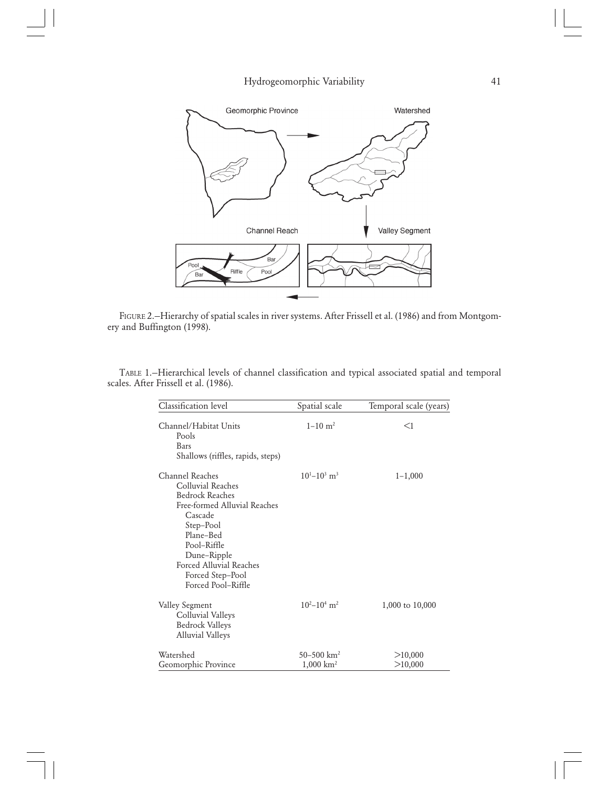

FIGURE 2.—Hierarchy of spatial scales in river systems. After Frissell et al. (1986) and from Montgomery and Buffington (1998).

TABLE 1.—Hierarchical levels of channel classification and typical associated spatial and temporal scales. After Frissell et al. (1986).

| Classification level                                                                                                                                                                                                                   | Spatial scale                                    | Temporal scale (years) |
|----------------------------------------------------------------------------------------------------------------------------------------------------------------------------------------------------------------------------------------|--------------------------------------------------|------------------------|
| Channel/Habitat Units<br>Pools<br>Bars<br>Shallows (riffles, rapids, steps)                                                                                                                                                            | $1 - 10$ m <sup>2</sup>                          | <1                     |
| Channel Reaches<br>Colluvial Reaches<br><b>Bedrock Reaches</b><br>Free-formed Alluvial Reaches<br>Cascade<br>Step-Pool<br>Plane-Bed<br>Pool-Riffle<br>Dune-Ripple<br>Forced Alluvial Reaches<br>Forced Step-Pool<br>Forced Pool-Riffle | $10^{1} - 10^{3}$ m <sup>3</sup>                 | $1 - 1,000$            |
| Valley Segment<br>Colluvial Valleys<br><b>Bedrock Valleys</b><br><b>Alluvial Valleys</b>                                                                                                                                               | $10^{2}-10^{4}$ m <sup>2</sup>                   | 1,000 to 10,000        |
| Watershed<br>Geomorphic Province                                                                                                                                                                                                       | $50 - 500$ km <sup>2</sup><br>$1,000 \rm \ km^2$ | >10,000<br>>10,000     |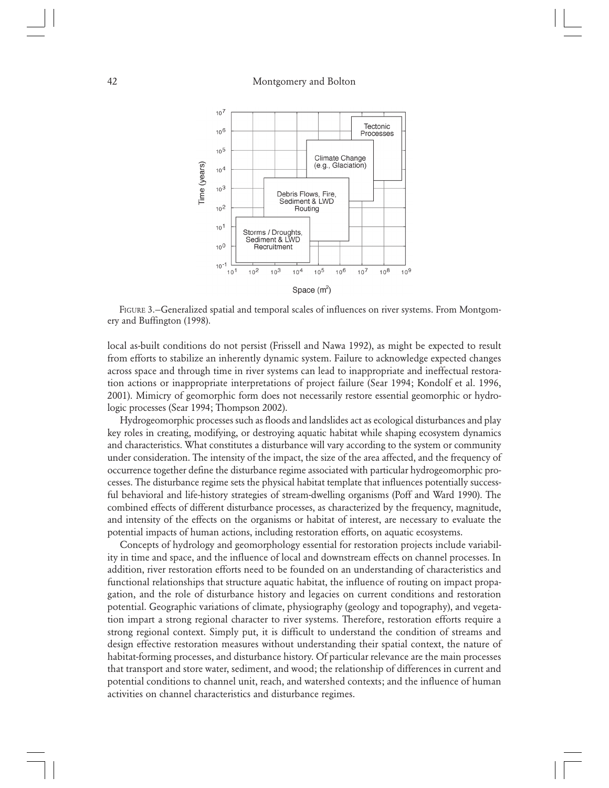

FIGURE 3.—Generalized spatial and temporal scales of influences on river systems. From Montgomery and Buffington (1998).

local as-built conditions do not persist (Frissell and Nawa 1992), as might be expected to result from efforts to stabilize an inherently dynamic system. Failure to acknowledge expected changes across space and through time in river systems can lead to inappropriate and ineffectual restoration actions or inappropriate interpretations of project failure (Sear 1994; Kondolf et al. 1996, 2001). Mimicry of geomorphic form does not necessarily restore essential geomorphic or hydrologic processes (Sear 1994; Thompson 2002).

Hydrogeomorphic processes such as floods and landslides act as ecological disturbances and play key roles in creating, modifying, or destroying aquatic habitat while shaping ecosystem dynamics and characteristics. What constitutes a disturbance will vary according to the system or community under consideration. The intensity of the impact, the size of the area affected, and the frequency of occurrence together define the disturbance regime associated with particular hydrogeomorphic processes. The disturbance regime sets the physical habitat template that influences potentially successful behavioral and life-history strategies of stream-dwelling organisms (Poff and Ward 1990). The combined effects of different disturbance processes, as characterized by the frequency, magnitude, and intensity of the effects on the organisms or habitat of interest, are necessary to evaluate the potential impacts of human actions, including restoration efforts, on aquatic ecosystems.

Concepts of hydrology and geomorphology essential for restoration projects include variability in time and space, and the influence of local and downstream effects on channel processes. In addition, river restoration efforts need to be founded on an understanding of characteristics and functional relationships that structure aquatic habitat, the influence of routing on impact propagation, and the role of disturbance history and legacies on current conditions and restoration potential. Geographic variations of climate, physiography (geology and topography), and vegetation impart a strong regional character to river systems. Therefore, restoration efforts require a strong regional context. Simply put, it is difficult to understand the condition of streams and design effective restoration measures without understanding their spatial context, the nature of habitat-forming processes, and disturbance history. Of particular relevance are the main processes that transport and store water, sediment, and wood; the relationship of differences in current and potential conditions to channel unit, reach, and watershed contexts; and the influence of human activities on channel characteristics and disturbance regimes.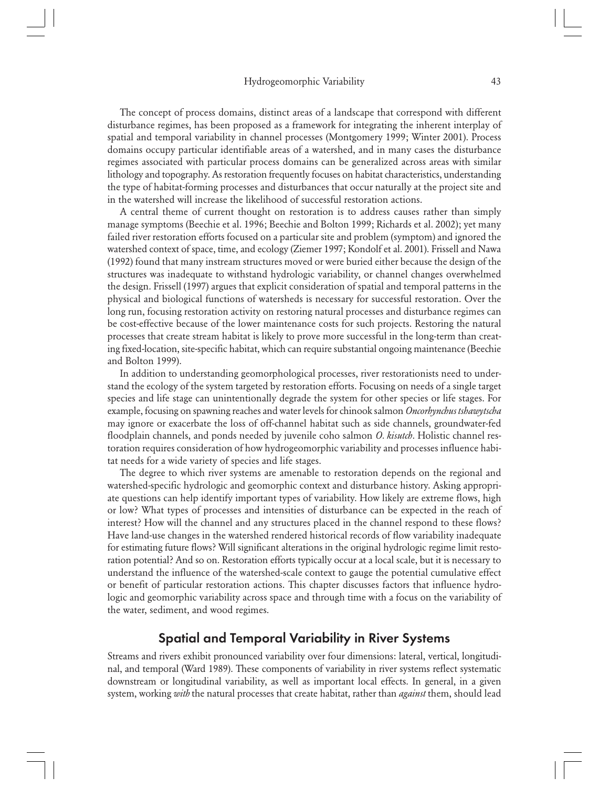The concept of process domains, distinct areas of a landscape that correspond with different disturbance regimes, has been proposed as a framework for integrating the inherent interplay of spatial and temporal variability in channel processes (Montgomery 1999; Winter 2001). Process domains occupy particular identifiable areas of a watershed, and in many cases the disturbance regimes associated with particular process domains can be generalized across areas with similar lithology and topography. As restoration frequently focuses on habitat characteristics, understanding the type of habitat-forming processes and disturbances that occur naturally at the project site and in the watershed will increase the likelihood of successful restoration actions.

A central theme of current thought on restoration is to address causes rather than simply manage symptoms (Beechie et al. 1996; Beechie and Bolton 1999; Richards et al. 2002); yet many failed river restoration efforts focused on a particular site and problem (symptom) and ignored the watershed context of space, time, and ecology (Ziemer 1997; Kondolf et al. 2001). Frissell and Nawa (1992) found that many instream structures moved or were buried either because the design of the structures was inadequate to withstand hydrologic variability, or channel changes overwhelmed the design. Frissell (1997) argues that explicit consideration of spatial and temporal patterns in the physical and biological functions of watersheds is necessary for successful restoration. Over the long run, focusing restoration activity on restoring natural processes and disturbance regimes can be cost-effective because of the lower maintenance costs for such projects. Restoring the natural processes that create stream habitat is likely to prove more successful in the long-term than creating fixed-location, site-specific habitat, which can require substantial ongoing maintenance (Beechie and Bolton 1999).

In addition to understanding geomorphological processes, river restorationists need to understand the ecology of the system targeted by restoration efforts. Focusing on needs of a single target species and life stage can unintentionally degrade the system for other species or life stages. For example, focusing on spawning reaches and water levels for chinook salmon *Oncorhynchus tshawytscha* may ignore or exacerbate the loss of off-channel habitat such as side channels, groundwater-fed floodplain channels, and ponds needed by juvenile coho salmon *O. kisutch*. Holistic channel restoration requires consideration of how hydrogeomorphic variability and processes influence habitat needs for a wide variety of species and life stages.

The degree to which river systems are amenable to restoration depends on the regional and watershed-specific hydrologic and geomorphic context and disturbance history. Asking appropriate questions can help identify important types of variability. How likely are extreme flows, high or low? What types of processes and intensities of disturbance can be expected in the reach of interest? How will the channel and any structures placed in the channel respond to these flows? Have land-use changes in the watershed rendered historical records of flow variability inadequate for estimating future flows? Will significant alterations in the original hydrologic regime limit restoration potential? And so on. Restoration efforts typically occur at a local scale, but it is necessary to understand the influence of the watershed-scale context to gauge the potential cumulative effect or benefit of particular restoration actions. This chapter discusses factors that influence hydrologic and geomorphic variability across space and through time with a focus on the variability of the water, sediment, and wood regimes.

# Spatial and Temporal Variability in River Systems

Streams and rivers exhibit pronounced variability over four dimensions: lateral, vertical, longitudinal, and temporal (Ward 1989). These components of variability in river systems reflect systematic downstream or longitudinal variability, as well as important local effects. In general, in a given system, working *with* the natural processes that create habitat, rather than *against* them, should lead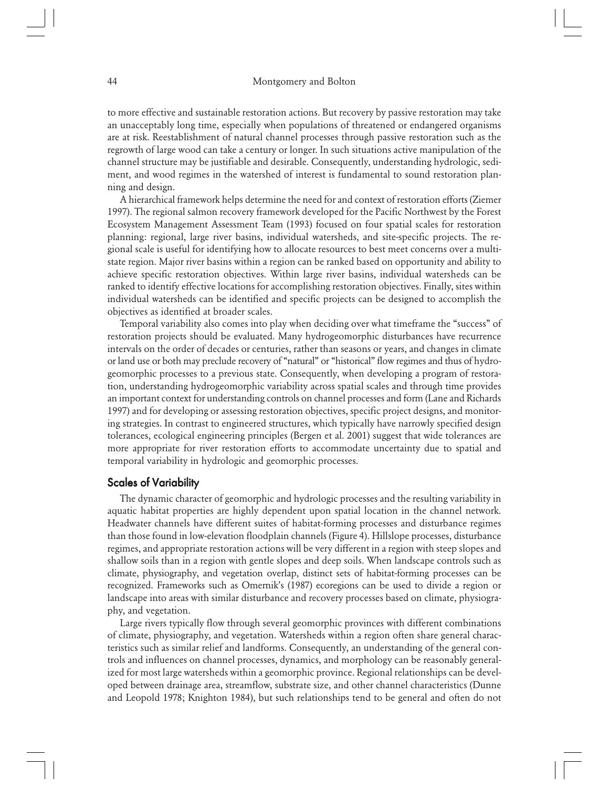to more effective and sustainable restoration actions. But recovery by passive restoration may take an unacceptably long time, especially when populations of threatened or endangered organisms are at risk. Reestablishment of natural channel processes through passive restoration such as the regrowth of large wood can take a century or longer. In such situations active manipulation of the channel structure may be justifiable and desirable. Consequently, understanding hydrologic, sediment, and wood regimes in the watershed of interest is fundamental to sound restoration planning and design.

A hierarchical framework helps determine the need for and context of restoration efforts (Ziemer 1997). The regional salmon recovery framework developed for the Pacific Northwest by the Forest Ecosystem Management Assessment Team (1993) focused on four spatial scales for restoration planning: regional, large river basins, individual watersheds, and site-specific projects. The regional scale is useful for identifying how to allocate resources to best meet concerns over a multistate region. Major river basins within a region can be ranked based on opportunity and ability to achieve specific restoration objectives. Within large river basins, individual watersheds can be ranked to identify effective locations for accomplishing restoration objectives. Finally, sites within individual watersheds can be identified and specific projects can be designed to accomplish the objectives as identified at broader scales.

Temporal variability also comes into play when deciding over what timeframe the "success" of restoration projects should be evaluated. Many hydrogeomorphic disturbances have recurrence intervals on the order of decades or centuries, rather than seasons or years, and changes in climate or land use or both may preclude recovery of "natural" or "historical" flow regimes and thus of hydrogeomorphic processes to a previous state. Consequently, when developing a program of restoration, understanding hydrogeomorphic variability across spatial scales and through time provides an important context for understanding controls on channel processes and form (Lane and Richards 1997) and for developing or assessing restoration objectives, specific project designs, and monitoring strategies. In contrast to engineered structures, which typically have narrowly specified design tolerances, ecological engineering principles (Bergen et al. 2001) suggest that wide tolerances are more appropriate for river restoration efforts to accommodate uncertainty due to spatial and temporal variability in hydrologic and geomorphic processes.

## Scales of Variability

The dynamic character of geomorphic and hydrologic processes and the resulting variability in aquatic habitat properties are highly dependent upon spatial location in the channel network. Headwater channels have different suites of habitat-forming processes and disturbance regimes than those found in low-elevation floodplain channels (Figure 4). Hillslope processes, disturbance regimes, and appropriate restoration actions will be very different in a region with steep slopes and shallow soils than in a region with gentle slopes and deep soils. When landscape controls such as climate, physiography, and vegetation overlap, distinct sets of habitat-forming processes can be recognized. Frameworks such as Omernik's (1987) ecoregions can be used to divide a region or landscape into areas with similar disturbance and recovery processes based on climate, physiography, and vegetation.

Large rivers typically flow through several geomorphic provinces with different combinations of climate, physiography, and vegetation. Watersheds within a region often share general characteristics such as similar relief and landforms. Consequently, an understanding of the general controls and influences on channel processes, dynamics, and morphology can be reasonably generalized for most large watersheds within a geomorphic province. Regional relationships can be developed between drainage area, streamflow, substrate size, and other channel characteristics (Dunne and Leopold 1978; Knighton 1984), but such relationships tend to be general and often do not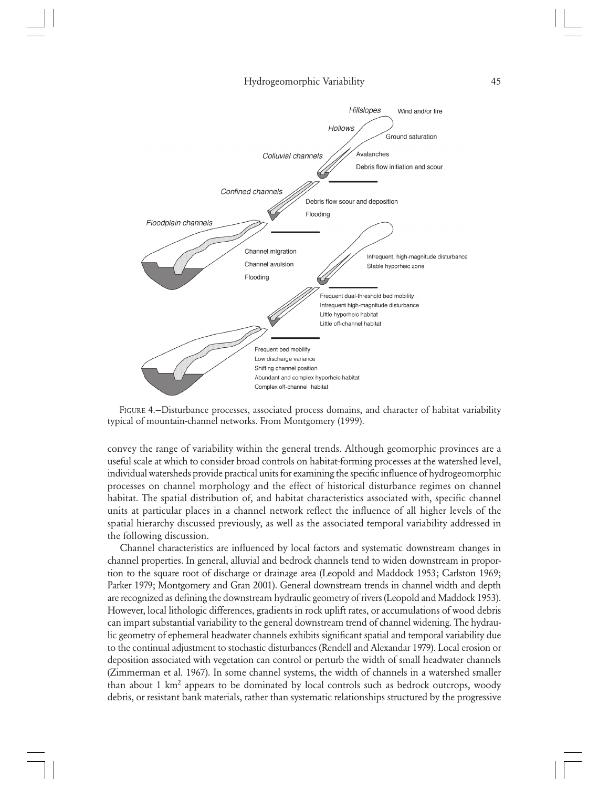



convey the range of variability within the general trends. Although geomorphic provinces are a useful scale at which to consider broad controls on habitat-forming processes at the watershed level, individual watersheds provide practical units for examining the specific influence of hydrogeomorphic processes on channel morphology and the effect of historical disturbance regimes on channel habitat. The spatial distribution of, and habitat characteristics associated with, specific channel units at particular places in a channel network reflect the influence of all higher levels of the spatial hierarchy discussed previously, as well as the associated temporal variability addressed in the following discussion.

Channel characteristics are influenced by local factors and systematic downstream changes in channel properties. In general, alluvial and bedrock channels tend to widen downstream in proportion to the square root of discharge or drainage area (Leopold and Maddock 1953; Carlston 1969; Parker 1979; Montgomery and Gran 2001). General downstream trends in channel width and depth are recognized as defining the downstream hydraulic geometry of rivers (Leopold and Maddock 1953). However, local lithologic differences, gradients in rock uplift rates, or accumulations of wood debris can impart substantial variability to the general downstream trend of channel widening. The hydraulic geometry of ephemeral headwater channels exhibits significant spatial and temporal variability due to the continual adjustment to stochastic disturbances (Rendell and Alexandar 1979). Local erosion or deposition associated with vegetation can control or perturb the width of small headwater channels (Zimmerman et al. 1967). In some channel systems, the width of channels in a watershed smaller than about  $1 \text{ km}^2$  appears to be dominated by local controls such as bedrock outcrops, woody debris, or resistant bank materials, rather than systematic relationships structured by the progressive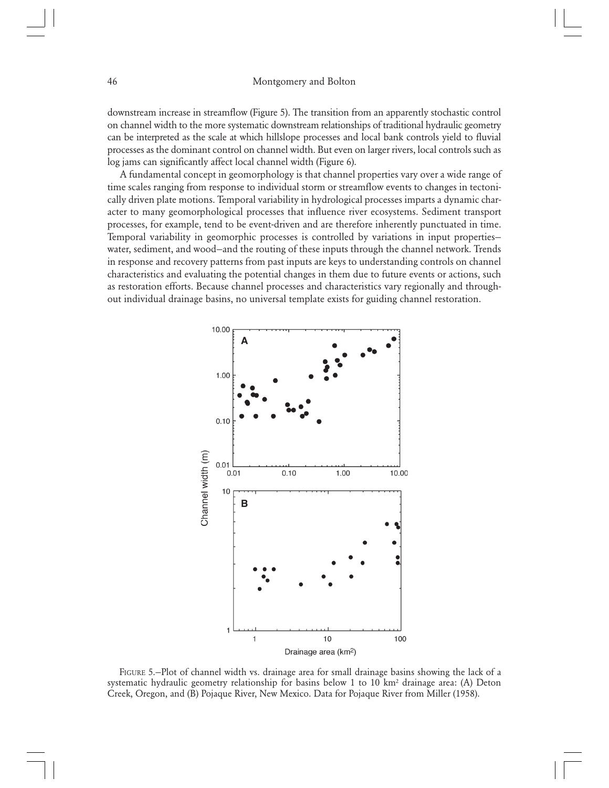downstream increase in streamflow (Figure 5). The transition from an apparently stochastic control on channel width to the more systematic downstream relationships of traditional hydraulic geometry can be interpreted as the scale at which hillslope processes and local bank controls yield to fluvial processes as the dominant control on channel width. But even on larger rivers, local controls such as log jams can significantly affect local channel width (Figure 6).

A fundamental concept in geomorphology is that channel properties vary over a wide range of time scales ranging from response to individual storm or streamflow events to changes in tectonically driven plate motions. Temporal variability in hydrological processes imparts a dynamic character to many geomorphological processes that influence river ecosystems. Sediment transport processes, for example, tend to be event-driven and are therefore inherently punctuated in time. Temporal variability in geomorphic processes is controlled by variations in input properties water, sediment, and wood—and the routing of these inputs through the channel network. Trends in response and recovery patterns from past inputs are keys to understanding controls on channel characteristics and evaluating the potential changes in them due to future events or actions, such as restoration efforts. Because channel processes and characteristics vary regionally and throughout individual drainage basins, no universal template exists for guiding channel restoration.



FIGURE 5.—Plot of channel width vs. drainage area for small drainage basins showing the lack of a systematic hydraulic geometry relationship for basins below 1 to 10  $km<sup>2</sup>$  drainage area: (A) Deton Creek, Oregon, and (B) Pojaque River, New Mexico. Data for Pojaque River from Miller (1958).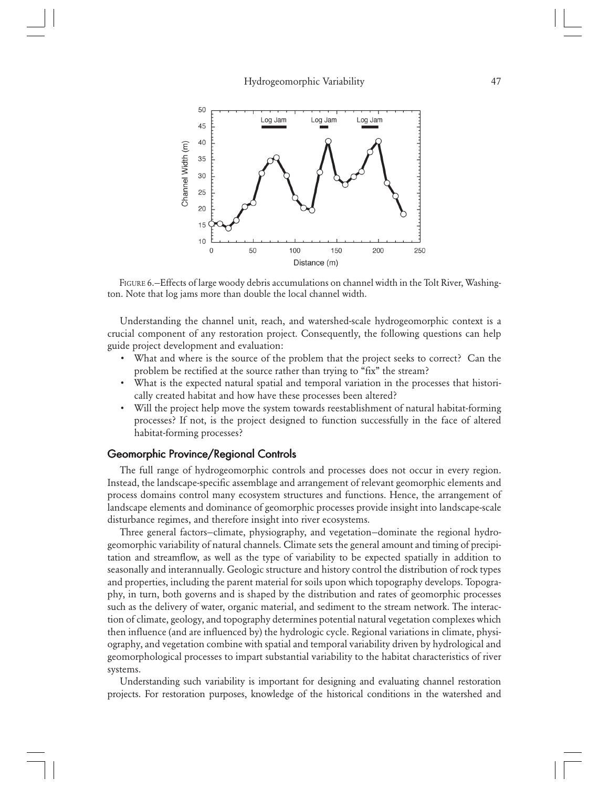

FIGURE 6.—Effects of large woody debris accumulations on channel width in the Tolt River, Washington. Note that log jams more than double the local channel width.

Understanding the channel unit, reach, and watershed-scale hydrogeomorphic context is a crucial component of any restoration project. Consequently, the following questions can help guide project development and evaluation:

- What and where is the source of the problem that the project seeks to correct? Can the problem be rectified at the source rather than trying to "fix" the stream?
- What is the expected natural spatial and temporal variation in the processes that historically created habitat and how have these processes been altered?
- Will the project help move the system towards reestablishment of natural habitat-forming processes? If not, is the project designed to function successfully in the face of altered habitat-forming processes?

# Geomorphic Province/Regional Controls

The full range of hydrogeomorphic controls and processes does not occur in every region. Instead, the landscape-specific assemblage and arrangement of relevant geomorphic elements and process domains control many ecosystem structures and functions. Hence, the arrangement of landscape elements and dominance of geomorphic processes provide insight into landscape-scale disturbance regimes, and therefore insight into river ecosystems.

Three general factors—climate, physiography, and vegetation—dominate the regional hydrogeomorphic variability of natural channels. Climate sets the general amount and timing of precipitation and streamflow, as well as the type of variability to be expected spatially in addition to seasonally and interannually. Geologic structure and history control the distribution of rock types and properties, including the parent material for soils upon which topography develops. Topography, in turn, both governs and is shaped by the distribution and rates of geomorphic processes such as the delivery of water, organic material, and sediment to the stream network. The interaction of climate, geology, and topography determines potential natural vegetation complexes which then influence (and are influenced by) the hydrologic cycle. Regional variations in climate, physiography, and vegetation combine with spatial and temporal variability driven by hydrological and geomorphological processes to impart substantial variability to the habitat characteristics of river systems.

Understanding such variability is important for designing and evaluating channel restoration projects. For restoration purposes, knowledge of the historical conditions in the watershed and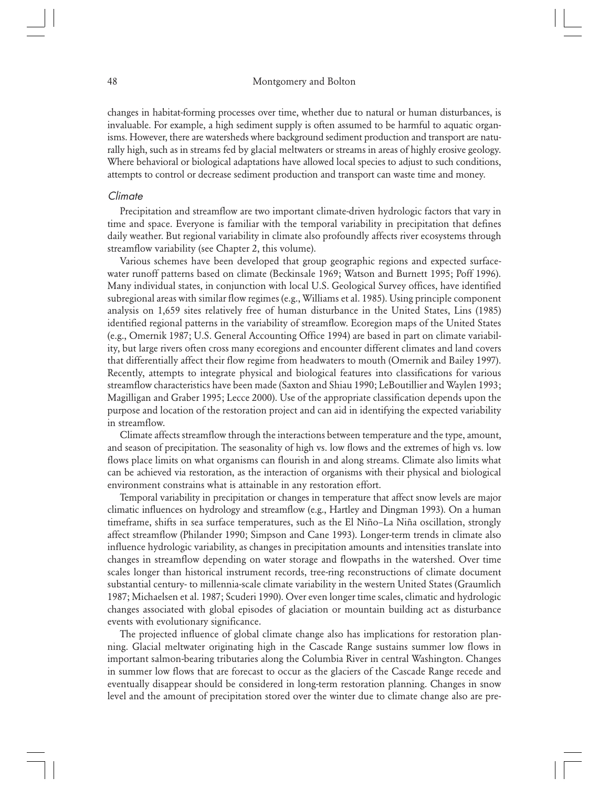changes in habitat-forming processes over time, whether due to natural or human disturbances, is invaluable. For example, a high sediment supply is often assumed to be harmful to aquatic organisms. However, there are watersheds where background sediment production and transport are naturally high, such as in streams fed by glacial meltwaters or streams in areas of highly erosive geology. Where behavioral or biological adaptations have allowed local species to adjust to such conditions, attempts to control or decrease sediment production and transport can waste time and money.

## **Climate**

Precipitation and streamflow are two important climate-driven hydrologic factors that vary in time and space. Everyone is familiar with the temporal variability in precipitation that defines daily weather. But regional variability in climate also profoundly affects river ecosystems through streamflow variability (see Chapter 2, this volume).

Various schemes have been developed that group geographic regions and expected surfacewater runoff patterns based on climate (Beckinsale 1969; Watson and Burnett 1995; Poff 1996). Many individual states, in conjunction with local U.S. Geological Survey offices, have identified subregional areas with similar flow regimes (e.g., Williams et al. 1985). Using principle component analysis on 1,659 sites relatively free of human disturbance in the United States, Lins (1985) identified regional patterns in the variability of streamflow. Ecoregion maps of the United States (e.g., Omernik 1987; U.S. General Accounting Office 1994) are based in part on climate variability, but large rivers often cross many ecoregions and encounter different climates and land covers that differentially affect their flow regime from headwaters to mouth (Omernik and Bailey 1997). Recently, attempts to integrate physical and biological features into classifications for various streamflow characteristics have been made (Saxton and Shiau 1990; LeBoutillier and Waylen 1993; Magilligan and Graber 1995; Lecce 2000). Use of the appropriate classification depends upon the purpose and location of the restoration project and can aid in identifying the expected variability in streamflow.

Climate affects streamflow through the interactions between temperature and the type, amount, and season of precipitation. The seasonality of high vs. low flows and the extremes of high vs. low flows place limits on what organisms can flourish in and along streams. Climate also limits what can be achieved via restoration, as the interaction of organisms with their physical and biological environment constrains what is attainable in any restoration effort.

Temporal variability in precipitation or changes in temperature that affect snow levels are major climatic influences on hydrology and streamflow (e.g., Hartley and Dingman 1993). On a human timeframe, shifts in sea surface temperatures, such as the El Niño–La Niña oscillation, strongly affect streamflow (Philander 1990; Simpson and Cane 1993). Longer-term trends in climate also influence hydrologic variability, as changes in precipitation amounts and intensities translate into changes in streamflow depending on water storage and flowpaths in the watershed. Over time scales longer than historical instrument records, tree-ring reconstructions of climate document substantial century- to millennia-scale climate variability in the western United States (Graumlich 1987; Michaelsen et al. 1987; Scuderi 1990). Over even longer time scales, climatic and hydrologic changes associated with global episodes of glaciation or mountain building act as disturbance events with evolutionary significance.

The projected influence of global climate change also has implications for restoration planning. Glacial meltwater originating high in the Cascade Range sustains summer low flows in important salmon-bearing tributaries along the Columbia River in central Washington. Changes in summer low flows that are forecast to occur as the glaciers of the Cascade Range recede and eventually disappear should be considered in long-term restoration planning. Changes in snow level and the amount of precipitation stored over the winter due to climate change also are pre-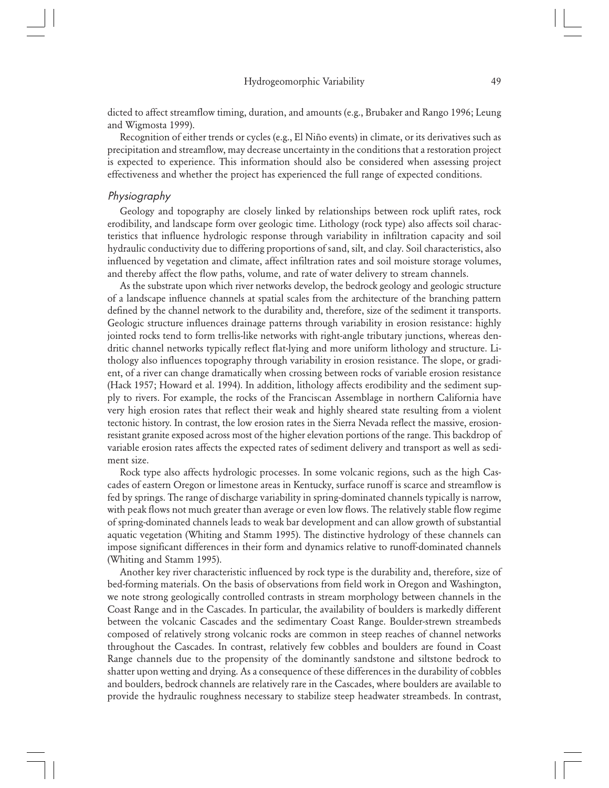dicted to affect streamflow timing, duration, and amounts (e.g., Brubaker and Rango 1996; Leung and Wigmosta 1999).

Recognition of either trends or cycles (e.g., El Niño events) in climate, or its derivatives such as precipitation and streamflow, may decrease uncertainty in the conditions that a restoration project is expected to experience. This information should also be considered when assessing project effectiveness and whether the project has experienced the full range of expected conditions.

## Physiography

Geology and topography are closely linked by relationships between rock uplift rates, rock erodibility, and landscape form over geologic time. Lithology (rock type) also affects soil characteristics that influence hydrologic response through variability in infiltration capacity and soil hydraulic conductivity due to differing proportions of sand, silt, and clay. Soil characteristics, also influenced by vegetation and climate, affect infiltration rates and soil moisture storage volumes, and thereby affect the flow paths, volume, and rate of water delivery to stream channels.

As the substrate upon which river networks develop, the bedrock geology and geologic structure of a landscape influence channels at spatial scales from the architecture of the branching pattern defined by the channel network to the durability and, therefore, size of the sediment it transports. Geologic structure influences drainage patterns through variability in erosion resistance: highly jointed rocks tend to form trellis-like networks with right-angle tributary junctions, whereas dendritic channel networks typically reflect flat-lying and more uniform lithology and structure. Lithology also influences topography through variability in erosion resistance. The slope, or gradient, of a river can change dramatically when crossing between rocks of variable erosion resistance (Hack 1957; Howard et al. 1994). In addition, lithology affects erodibility and the sediment supply to rivers. For example, the rocks of the Franciscan Assemblage in northern California have very high erosion rates that reflect their weak and highly sheared state resulting from a violent tectonic history. In contrast, the low erosion rates in the Sierra Nevada reflect the massive, erosionresistant granite exposed across most of the higher elevation portions of the range. This backdrop of variable erosion rates affects the expected rates of sediment delivery and transport as well as sediment size.

Rock type also affects hydrologic processes. In some volcanic regions, such as the high Cascades of eastern Oregon or limestone areas in Kentucky, surface runoff is scarce and streamflow is fed by springs. The range of discharge variability in spring-dominated channels typically is narrow, with peak flows not much greater than average or even low flows. The relatively stable flow regime of spring-dominated channels leads to weak bar development and can allow growth of substantial aquatic vegetation (Whiting and Stamm 1995). The distinctive hydrology of these channels can impose significant differences in their form and dynamics relative to runoff-dominated channels (Whiting and Stamm 1995).

Another key river characteristic influenced by rock type is the durability and, therefore, size of bed-forming materials. On the basis of observations from field work in Oregon and Washington, we note strong geologically controlled contrasts in stream morphology between channels in the Coast Range and in the Cascades. In particular, the availability of boulders is markedly different between the volcanic Cascades and the sedimentary Coast Range. Boulder-strewn streambeds composed of relatively strong volcanic rocks are common in steep reaches of channel networks throughout the Cascades. In contrast, relatively few cobbles and boulders are found in Coast Range channels due to the propensity of the dominantly sandstone and siltstone bedrock to shatter upon wetting and drying. As a consequence of these differences in the durability of cobbles and boulders, bedrock channels are relatively rare in the Cascades, where boulders are available to provide the hydraulic roughness necessary to stabilize steep headwater streambeds. In contrast,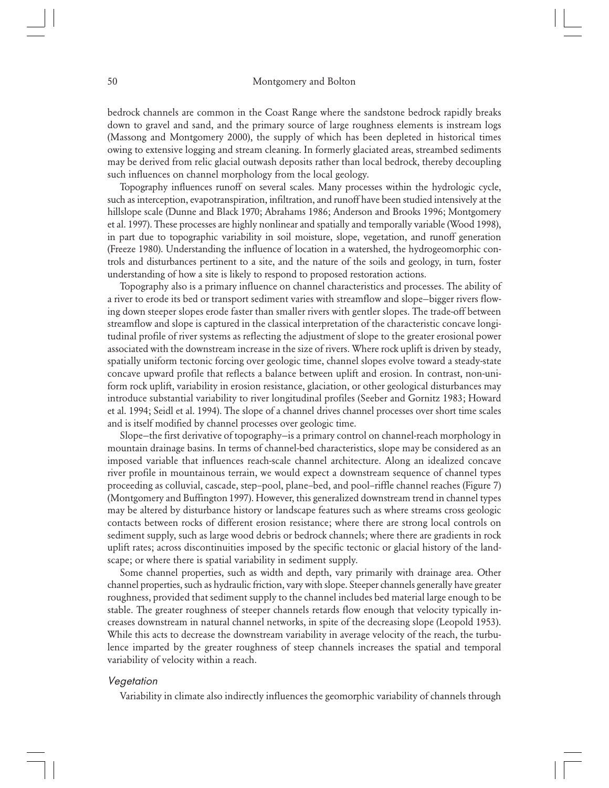bedrock channels are common in the Coast Range where the sandstone bedrock rapidly breaks down to gravel and sand, and the primary source of large roughness elements is instream logs (Massong and Montgomery 2000), the supply of which has been depleted in historical times owing to extensive logging and stream cleaning. In formerly glaciated areas, streambed sediments may be derived from relic glacial outwash deposits rather than local bedrock, thereby decoupling such influences on channel morphology from the local geology.

Topography influences runoff on several scales. Many processes within the hydrologic cycle, such as interception, evapotranspiration, infiltration, and runoff have been studied intensively at the hillslope scale (Dunne and Black 1970; Abrahams 1986; Anderson and Brooks 1996; Montgomery et al. 1997). These processes are highly nonlinear and spatially and temporally variable (Wood 1998), in part due to topographic variability in soil moisture, slope, vegetation, and runoff generation (Freeze 1980). Understanding the influence of location in a watershed, the hydrogeomorphic controls and disturbances pertinent to a site, and the nature of the soils and geology, in turn, foster understanding of how a site is likely to respond to proposed restoration actions.

Topography also is a primary influence on channel characteristics and processes. The ability of a river to erode its bed or transport sediment varies with streamflow and slope—bigger rivers flowing down steeper slopes erode faster than smaller rivers with gentler slopes. The trade-off between streamflow and slope is captured in the classical interpretation of the characteristic concave longitudinal profile of river systems as reflecting the adjustment of slope to the greater erosional power associated with the downstream increase in the size of rivers. Where rock uplift is driven by steady, spatially uniform tectonic forcing over geologic time, channel slopes evolve toward a steady-state concave upward profile that reflects a balance between uplift and erosion. In contrast, non-uniform rock uplift, variability in erosion resistance, glaciation, or other geological disturbances may introduce substantial variability to river longitudinal profiles (Seeber and Gornitz 1983; Howard et al. 1994; Seidl et al. 1994). The slope of a channel drives channel processes over short time scales and is itself modified by channel processes over geologic time.

Slope—the first derivative of topography—is a primary control on channel-reach morphology in mountain drainage basins. In terms of channel-bed characteristics, slope may be considered as an imposed variable that influences reach-scale channel architecture. Along an idealized concave river profile in mountainous terrain, we would expect a downstream sequence of channel types proceeding as colluvial, cascade, step–pool, plane–bed, and pool–riffle channel reaches (Figure 7) (Montgomery and Buffington 1997). However, this generalized downstream trend in channel types may be altered by disturbance history or landscape features such as where streams cross geologic contacts between rocks of different erosion resistance; where there are strong local controls on sediment supply, such as large wood debris or bedrock channels; where there are gradients in rock uplift rates; across discontinuities imposed by the specific tectonic or glacial history of the landscape; or where there is spatial variability in sediment supply.

Some channel properties, such as width and depth, vary primarily with drainage area. Other channel properties, such as hydraulic friction, vary with slope. Steeper channels generally have greater roughness, provided that sediment supply to the channel includes bed material large enough to be stable. The greater roughness of steeper channels retards flow enough that velocity typically increases downstream in natural channel networks, in spite of the decreasing slope (Leopold 1953). While this acts to decrease the downstream variability in average velocity of the reach, the turbulence imparted by the greater roughness of steep channels increases the spatial and temporal variability of velocity within a reach.

#### **Vegetation**

Variability in climate also indirectly influences the geomorphic variability of channels through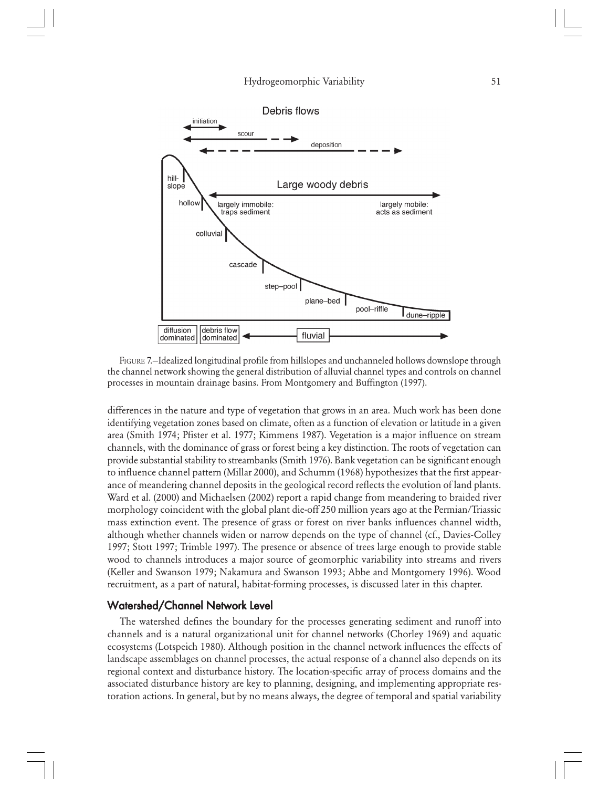

FIGURE 7.—Idealized longitudinal profile from hillslopes and unchanneled hollows downslope through the channel network showing the general distribution of alluvial channel types and controls on channel processes in mountain drainage basins. From Montgomery and Buffington (1997).

differences in the nature and type of vegetation that grows in an area. Much work has been done identifying vegetation zones based on climate, often as a function of elevation or latitude in a given area (Smith 1974; Pfister et al. 1977; Kimmens 1987). Vegetation is a major influence on stream channels, with the dominance of grass or forest being a key distinction. The roots of vegetation can provide substantial stability to streambanks (Smith 1976). Bank vegetation can be significant enough to influence channel pattern (Millar 2000), and Schumm (1968) hypothesizes that the first appearance of meandering channel deposits in the geological record reflects the evolution of land plants. Ward et al. (2000) and Michaelsen (2002) report a rapid change from meandering to braided river morphology coincident with the global plant die-off 250 million years ago at the Permian/Triassic mass extinction event. The presence of grass or forest on river banks influences channel width, although whether channels widen or narrow depends on the type of channel (cf., Davies-Colley 1997; Stott 1997; Trimble 1997). The presence or absence of trees large enough to provide stable wood to channels introduces a major source of geomorphic variability into streams and rivers (Keller and Swanson 1979; Nakamura and Swanson 1993; Abbe and Montgomery 1996). Wood recruitment, as a part of natural, habitat-forming processes, is discussed later in this chapter.

#### Watershed/Channel Network Level

The watershed defines the boundary for the processes generating sediment and runoff into channels and is a natural organizational unit for channel networks (Chorley 1969) and aquatic ecosystems (Lotspeich 1980). Although position in the channel network influences the effects of landscape assemblages on channel processes, the actual response of a channel also depends on its regional context and disturbance history. The location-specific array of process domains and the associated disturbance history are key to planning, designing, and implementing appropriate restoration actions. In general, but by no means always, the degree of temporal and spatial variability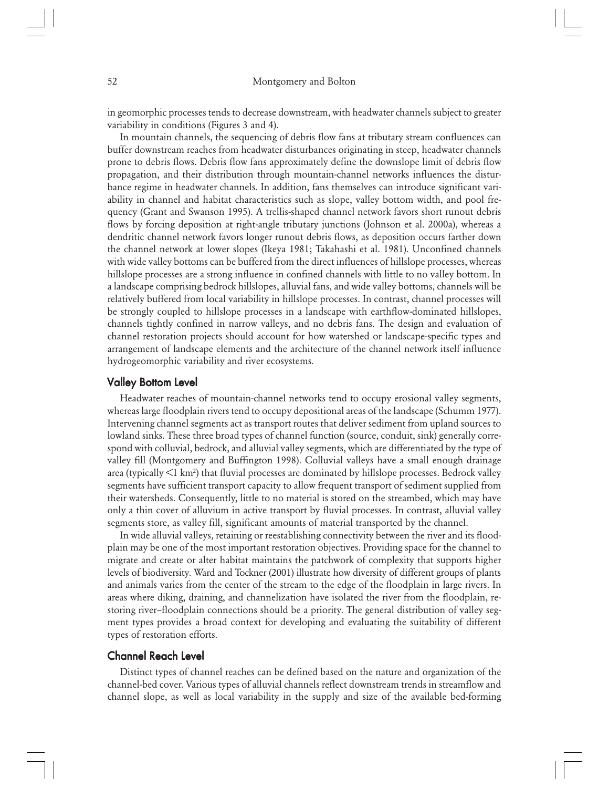in geomorphic processes tends to decrease downstream, with headwater channels subject to greater variability in conditions (Figures 3 and 4).

In mountain channels, the sequencing of debris flow fans at tributary stream confluences can buffer downstream reaches from headwater disturbances originating in steep, headwater channels prone to debris flows. Debris flow fans approximately define the downslope limit of debris flow propagation, and their distribution through mountain-channel networks influences the disturbance regime in headwater channels. In addition, fans themselves can introduce significant variability in channel and habitat characteristics such as slope, valley bottom width, and pool frequency (Grant and Swanson 1995). A trellis-shaped channel network favors short runout debris flows by forcing deposition at right-angle tributary junctions (Johnson et al. 2000a), whereas a dendritic channel network favors longer runout debris flows, as deposition occurs farther down the channel network at lower slopes (Ikeya 1981; Takahashi et al. 1981). Unconfined channels with wide valley bottoms can be buffered from the direct influences of hillslope processes, whereas hillslope processes are a strong influence in confined channels with little to no valley bottom. In a landscape comprising bedrock hillslopes, alluvial fans, and wide valley bottoms, channels will be relatively buffered from local variability in hillslope processes. In contrast, channel processes will be strongly coupled to hillslope processes in a landscape with earthflow-dominated hillslopes, channels tightly confined in narrow valleys, and no debris fans. The design and evaluation of channel restoration projects should account for how watershed or landscape-specific types and arrangement of landscape elements and the architecture of the channel network itself influence hydrogeomorphic variability and river ecosystems.

## Valley Bottom Level

Headwater reaches of mountain-channel networks tend to occupy erosional valley segments, whereas large floodplain rivers tend to occupy depositional areas of the landscape (Schumm 1977). Intervening channel segments act as transport routes that deliver sediment from upland sources to lowland sinks. These three broad types of channel function (source, conduit, sink) generally correspond with colluvial, bedrock, and alluvial valley segments, which are differentiated by the type of valley fill (Montgomery and Buffington 1998). Colluvial valleys have a small enough drainage area (typically <1 km2 ) that fluvial processes are dominated by hillslope processes. Bedrock valley segments have sufficient transport capacity to allow frequent transport of sediment supplied from their watersheds. Consequently, little to no material is stored on the streambed, which may have only a thin cover of alluvium in active transport by fluvial processes. In contrast, alluvial valley segments store, as valley fill, significant amounts of material transported by the channel.

In wide alluvial valleys, retaining or reestablishing connectivity between the river and its floodplain may be one of the most important restoration objectives. Providing space for the channel to migrate and create or alter habitat maintains the patchwork of complexity that supports higher levels of biodiversity. Ward and Tockner (2001) illustrate how diversity of different groups of plants and animals varies from the center of the stream to the edge of the floodplain in large rivers. In areas where diking, draining, and channelization have isolated the river from the floodplain, restoring river–floodplain connections should be a priority. The general distribution of valley segment types provides a broad context for developing and evaluating the suitability of different types of restoration efforts.

# **Channel Reach Level**

Distinct types of channel reaches can be defined based on the nature and organization of the channel-bed cover. Various types of alluvial channels reflect downstream trends in streamflow and channel slope, as well as local variability in the supply and size of the available bed-forming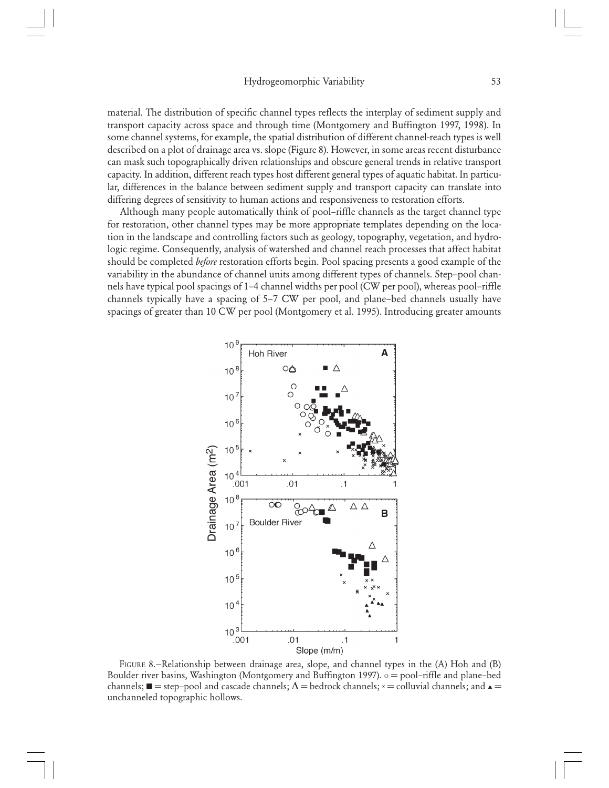material. The distribution of specific channel types reflects the interplay of sediment supply and transport capacity across space and through time (Montgomery and Buffington 1997, 1998). In some channel systems, for example, the spatial distribution of different channel-reach types is well described on a plot of drainage area vs. slope (Figure 8). However, in some areas recent disturbance can mask such topographically driven relationships and obscure general trends in relative transport capacity. In addition, different reach types host different general types of aquatic habitat. In particular, differences in the balance between sediment supply and transport capacity can translate into differing degrees of sensitivity to human actions and responsiveness to restoration efforts.

Although many people automatically think of pool–riffle channels as the target channel type for restoration, other channel types may be more appropriate templates depending on the location in the landscape and controlling factors such as geology, topography, vegetation, and hydrologic regime. Consequently, analysis of watershed and channel reach processes that affect habitat should be completed *before* restoration efforts begin. Pool spacing presents a good example of the variability in the abundance of channel units among different types of channels. Step–pool channels have typical pool spacings of 1–4 channel widths per pool (CW per pool), whereas pool–riffle channels typically have a spacing of 5–7 CW per pool, and plane–bed channels usually have spacings of greater than 10 CW per pool (Montgomery et al. 1995). Introducing greater amounts



FIGURE 8.—Relationship between drainage area, slope, and channel types in the (A) Hoh and (B) Boulder river basins, Washington (Montgomery and Buffington 1997).  $\circ$  = pool–riffle and plane–bed channels;  $\blacksquare$  = step–pool and cascade channels;  $\Delta$  = bedrock channels;  $x$  = colluvial channels; and  $\blacktriangle$ unchanneled topographic hollows.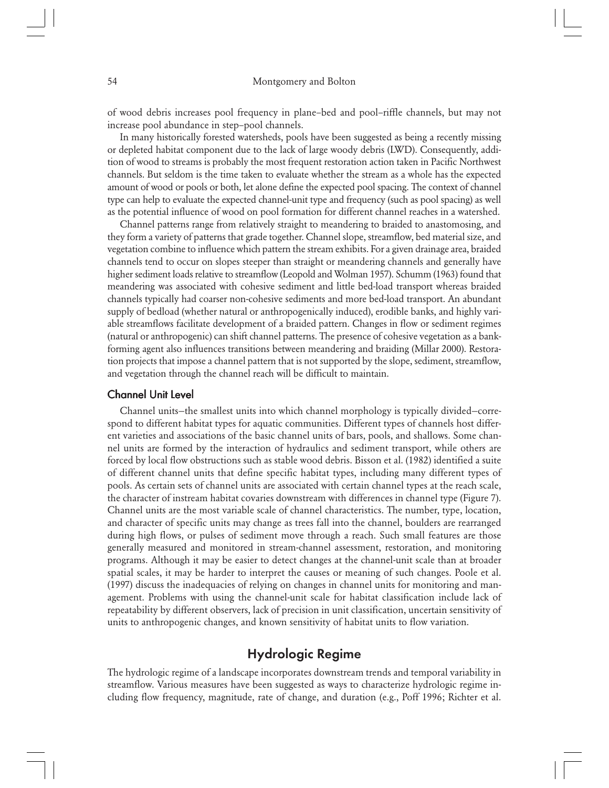of wood debris increases pool frequency in plane–bed and pool–riffle channels, but may not increase pool abundance in step–pool channels.

In many historically forested watersheds, pools have been suggested as being a recently missing or depleted habitat component due to the lack of large woody debris (LWD). Consequently, addition of wood to streams is probably the most frequent restoration action taken in Pacific Northwest channels. But seldom is the time taken to evaluate whether the stream as a whole has the expected amount of wood or pools or both, let alone define the expected pool spacing. The context of channel type can help to evaluate the expected channel-unit type and frequency (such as pool spacing) as well as the potential influence of wood on pool formation for different channel reaches in a watershed.

Channel patterns range from relatively straight to meandering to braided to anastomosing, and they form a variety of patterns that grade together. Channel slope, streamflow, bed material size, and vegetation combine to influence which pattern the stream exhibits. For a given drainage area, braided channels tend to occur on slopes steeper than straight or meandering channels and generally have higher sediment loads relative to streamflow (Leopold and Wolman 1957). Schumm (1963) found that meandering was associated with cohesive sediment and little bed-load transport whereas braided channels typically had coarser non-cohesive sediments and more bed-load transport. An abundant supply of bedload (whether natural or anthropogenically induced), erodible banks, and highly variable streamflows facilitate development of a braided pattern. Changes in flow or sediment regimes (natural or anthropogenic) can shift channel patterns. The presence of cohesive vegetation as a bankforming agent also influences transitions between meandering and braiding (Millar 2000). Restoration projects that impose a channel pattern that is not supported by the slope, sediment, streamflow, and vegetation through the channel reach will be difficult to maintain.

#### **Channel Unit Level**

Channel units—the smallest units into which channel morphology is typically divided—correspond to different habitat types for aquatic communities. Different types of channels host different varieties and associations of the basic channel units of bars, pools, and shallows. Some channel units are formed by the interaction of hydraulics and sediment transport, while others are forced by local flow obstructions such as stable wood debris. Bisson et al. (1982) identified a suite of different channel units that define specific habitat types, including many different types of pools. As certain sets of channel units are associated with certain channel types at the reach scale, the character of instream habitat covaries downstream with differences in channel type (Figure 7). Channel units are the most variable scale of channel characteristics. The number, type, location, and character of specific units may change as trees fall into the channel, boulders are rearranged during high flows, or pulses of sediment move through a reach. Such small features are those generally measured and monitored in stream-channel assessment, restoration, and monitoring programs. Although it may be easier to detect changes at the channel-unit scale than at broader spatial scales, it may be harder to interpret the causes or meaning of such changes. Poole et al. (1997) discuss the inadequacies of relying on changes in channel units for monitoring and management. Problems with using the channel-unit scale for habitat classification include lack of repeatability by different observers, lack of precision in unit classification, uncertain sensitivity of units to anthropogenic changes, and known sensitivity of habitat units to flow variation.

# Hydrologic Regime

The hydrologic regime of a landscape incorporates downstream trends and temporal variability in streamflow. Various measures have been suggested as ways to characterize hydrologic regime including flow frequency, magnitude, rate of change, and duration (e.g., Poff 1996; Richter et al.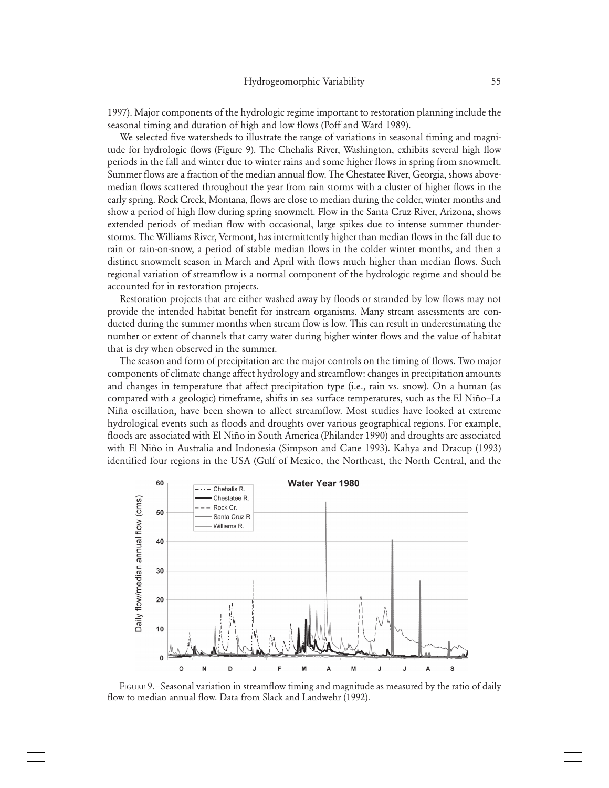1997). Major components of the hydrologic regime important to restoration planning include the seasonal timing and duration of high and low flows (Poff and Ward 1989).

We selected five watersheds to illustrate the range of variations in seasonal timing and magnitude for hydrologic flows (Figure 9). The Chehalis River, Washington, exhibits several high flow periods in the fall and winter due to winter rains and some higher flows in spring from snowmelt. Summer flows are a fraction of the median annual flow. The Chestatee River, Georgia, shows abovemedian flows scattered throughout the year from rain storms with a cluster of higher flows in the early spring. Rock Creek, Montana, flows are close to median during the colder, winter months and show a period of high flow during spring snowmelt. Flow in the Santa Cruz River, Arizona, shows extended periods of median flow with occasional, large spikes due to intense summer thunderstorms. The Williams River, Vermont, has intermittently higher than median flows in the fall due to rain or rain-on-snow, a period of stable median flows in the colder winter months, and then a distinct snowmelt season in March and April with flows much higher than median flows. Such regional variation of streamflow is a normal component of the hydrologic regime and should be accounted for in restoration projects.

Restoration projects that are either washed away by floods or stranded by low flows may not provide the intended habitat benefit for instream organisms. Many stream assessments are conducted during the summer months when stream flow is low. This can result in underestimating the number or extent of channels that carry water during higher winter flows and the value of habitat that is dry when observed in the summer.

The season and form of precipitation are the major controls on the timing of flows. Two major components of climate change affect hydrology and streamflow: changes in precipitation amounts and changes in temperature that affect precipitation type (i.e., rain vs. snow). On a human (as compared with a geologic) timeframe, shifts in sea surface temperatures, such as the El Niño–La Niña oscillation, have been shown to affect streamflow. Most studies have looked at extreme hydrological events such as floods and droughts over various geographical regions. For example, floods are associated with El Niño in South America (Philander 1990) and droughts are associated with El Niño in Australia and Indonesia (Simpson and Cane 1993). Kahya and Dracup (1993) identified four regions in the USA (Gulf of Mexico, the Northeast, the North Central, and the



FIGURE 9.—Seasonal variation in streamflow timing and magnitude as measured by the ratio of daily flow to median annual flow. Data from Slack and Landwehr (1992).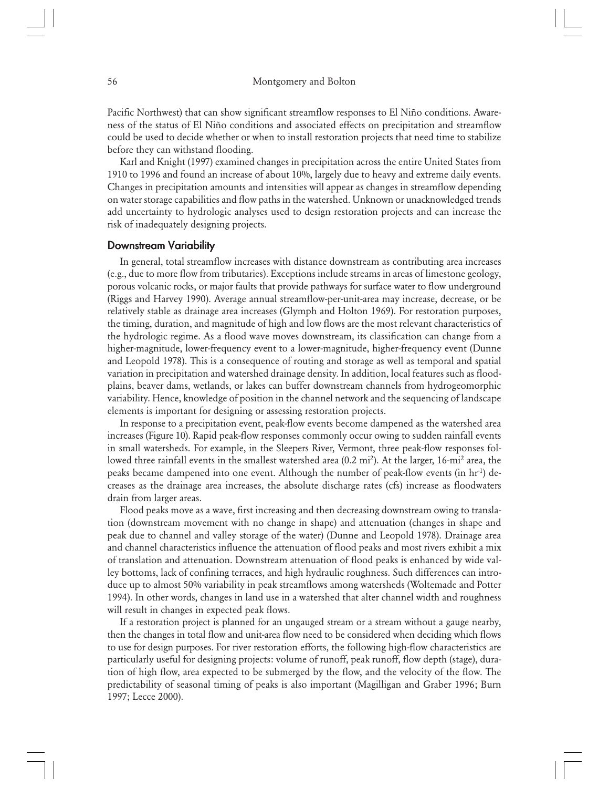Pacific Northwest) that can show significant streamflow responses to El Niño conditions. Awareness of the status of El Niño conditions and associated effects on precipitation and streamflow could be used to decide whether or when to install restoration projects that need time to stabilize before they can withstand flooding.

Karl and Knight (1997) examined changes in precipitation across the entire United States from 1910 to 1996 and found an increase of about 10%, largely due to heavy and extreme daily events. Changes in precipitation amounts and intensities will appear as changes in streamflow depending on water storage capabilities and flow paths in the watershed. Unknown or unacknowledged trends add uncertainty to hydrologic analyses used to design restoration projects and can increase the risk of inadequately designing projects.

## Downstream Variability

In general, total streamflow increases with distance downstream as contributing area increases (e.g., due to more flow from tributaries). Exceptions include streams in areas of limestone geology, porous volcanic rocks, or major faults that provide pathways for surface water to flow underground (Riggs and Harvey 1990). Average annual streamflow-per-unit-area may increase, decrease, or be relatively stable as drainage area increases (Glymph and Holton 1969). For restoration purposes, the timing, duration, and magnitude of high and low flows are the most relevant characteristics of the hydrologic regime. As a flood wave moves downstream, its classification can change from a higher-magnitude, lower-frequency event to a lower-magnitude, higher-frequency event (Dunne and Leopold 1978). This is a consequence of routing and storage as well as temporal and spatial variation in precipitation and watershed drainage density. In addition, local features such as floodplains, beaver dams, wetlands, or lakes can buffer downstream channels from hydrogeomorphic variability. Hence, knowledge of position in the channel network and the sequencing of landscape elements is important for designing or assessing restoration projects.

In response to a precipitation event, peak-flow events become dampened as the watershed area increases (Figure 10). Rapid peak-flow responses commonly occur owing to sudden rainfall events in small watersheds. For example, in the Sleepers River, Vermont, three peak-flow responses followed three rainfall events in the smallest watershed area (0.2 mi<sup>2</sup>). At the larger, 16-mi<sup>2</sup> area, the peaks became dampened into one event. Although the number of peak-flow events (in  $hr<sup>1</sup>$ ) decreases as the drainage area increases, the absolute discharge rates (cfs) increase as floodwaters drain from larger areas.

Flood peaks move as a wave, first increasing and then decreasing downstream owing to translation (downstream movement with no change in shape) and attenuation (changes in shape and peak due to channel and valley storage of the water) (Dunne and Leopold 1978). Drainage area and channel characteristics influence the attenuation of flood peaks and most rivers exhibit a mix of translation and attenuation. Downstream attenuation of flood peaks is enhanced by wide valley bottoms, lack of confining terraces, and high hydraulic roughness. Such differences can introduce up to almost 50% variability in peak streamflows among watersheds (Woltemade and Potter 1994). In other words, changes in land use in a watershed that alter channel width and roughness will result in changes in expected peak flows.

If a restoration project is planned for an ungauged stream or a stream without a gauge nearby, then the changes in total flow and unit-area flow need to be considered when deciding which flows to use for design purposes. For river restoration efforts, the following high-flow characteristics are particularly useful for designing projects: volume of runoff, peak runoff, flow depth (stage), duration of high flow, area expected to be submerged by the flow, and the velocity of the flow. The predictability of seasonal timing of peaks is also important (Magilligan and Graber 1996; Burn 1997; Lecce 2000).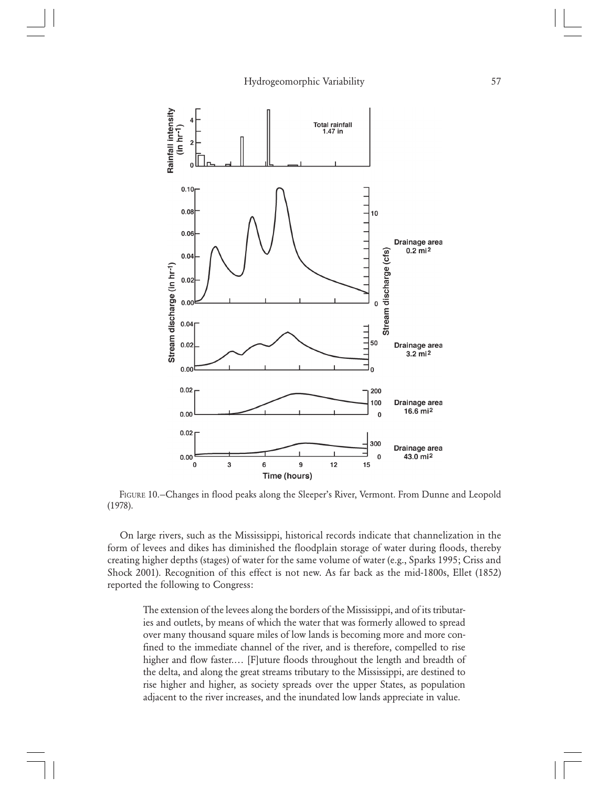

FIGURE 10.—Changes in flood peaks along the Sleeper's River, Vermont. From Dunne and Leopold (1978).

On large rivers, such as the Mississippi, historical records indicate that channelization in the form of levees and dikes has diminished the floodplain storage of water during floods, thereby creating higher depths (stages) of water for the same volume of water (e.g., Sparks 1995; Criss and Shock 2001). Recognition of this effect is not new. As far back as the mid-1800s, Ellet (1852) reported the following to Congress:

The extension of the levees along the borders of the Mississippi, and of its tributaries and outlets, by means of which the water that was formerly allowed to spread over many thousand square miles of low lands is becoming more and more confined to the immediate channel of the river, and is therefore, compelled to rise higher and flow faster.… [F]uture floods throughout the length and breadth of the delta, and along the great streams tributary to the Mississippi, are destined to rise higher and higher, as society spreads over the upper States, as population adjacent to the river increases, and the inundated low lands appreciate in value.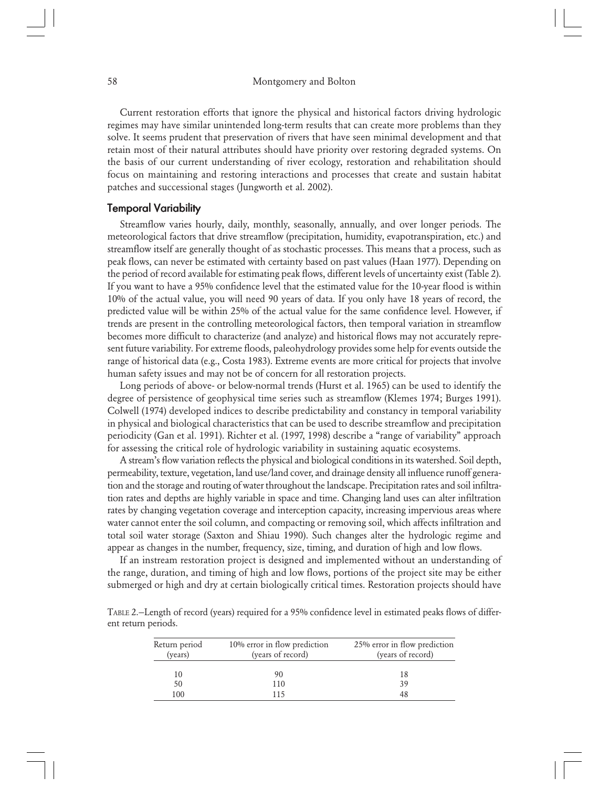Current restoration efforts that ignore the physical and historical factors driving hydrologic regimes may have similar unintended long-term results that can create more problems than they solve. It seems prudent that preservation of rivers that have seen minimal development and that retain most of their natural attributes should have priority over restoring degraded systems. On the basis of our current understanding of river ecology, restoration and rehabilitation should focus on maintaining and restoring interactions and processes that create and sustain habitat patches and successional stages (Jungworth et al. 2002).

## Temporal Variability

Streamflow varies hourly, daily, monthly, seasonally, annually, and over longer periods. The meteorological factors that drive streamflow (precipitation, humidity, evapotranspiration, etc.) and streamflow itself are generally thought of as stochastic processes. This means that a process, such as peak flows, can never be estimated with certainty based on past values (Haan 1977). Depending on the period of record available for estimating peak flows, different levels of uncertainty exist (Table 2). If you want to have a 95% confidence level that the estimated value for the 10-year flood is within 10% of the actual value, you will need 90 years of data. If you only have 18 years of record, the predicted value will be within 25% of the actual value for the same confidence level. However, if trends are present in the controlling meteorological factors, then temporal variation in streamflow becomes more difficult to characterize (and analyze) and historical flows may not accurately represent future variability. For extreme floods, paleohydrology provides some help for events outside the range of historical data (e.g., Costa 1983). Extreme events are more critical for projects that involve human safety issues and may not be of concern for all restoration projects.

Long periods of above- or below-normal trends (Hurst et al. 1965) can be used to identify the degree of persistence of geophysical time series such as streamflow (Klemes 1974; Burges 1991). Colwell (1974) developed indices to describe predictability and constancy in temporal variability in physical and biological characteristics that can be used to describe streamflow and precipitation periodicity (Gan et al. 1991). Richter et al. (1997, 1998) describe a "range of variability" approach for assessing the critical role of hydrologic variability in sustaining aquatic ecosystems.

A stream's flow variation reflects the physical and biological conditions in its watershed. Soil depth, permeability, texture, vegetation, land use/land cover, and drainage density all influence runoff generation and the storage and routing of water throughout the landscape. Precipitation rates and soil infiltration rates and depths are highly variable in space and time. Changing land uses can alter infiltration rates by changing vegetation coverage and interception capacity, increasing impervious areas where water cannot enter the soil column, and compacting or removing soil, which affects infiltration and total soil water storage (Saxton and Shiau 1990). Such changes alter the hydrologic regime and appear as changes in the number, frequency, size, timing, and duration of high and low flows.

If an instream restoration project is designed and implemented without an understanding of the range, duration, and timing of high and low flows, portions of the project site may be either submerged or high and dry at certain biologically critical times. Restoration projects should have

TABLE 2.—Length of record (years) required for a 95% confidence level in estimated peaks flows of different return periods.

| 10% error in flow prediction<br>Return period<br>(years of record)<br>(years) |           | 25% error in flow prediction<br>(years of record) |  |  |
|-------------------------------------------------------------------------------|-----------|---------------------------------------------------|--|--|
| 10<br>50                                                                      | 90<br>110 | 18<br>39                                          |  |  |
| 100                                                                           |           | 48                                                |  |  |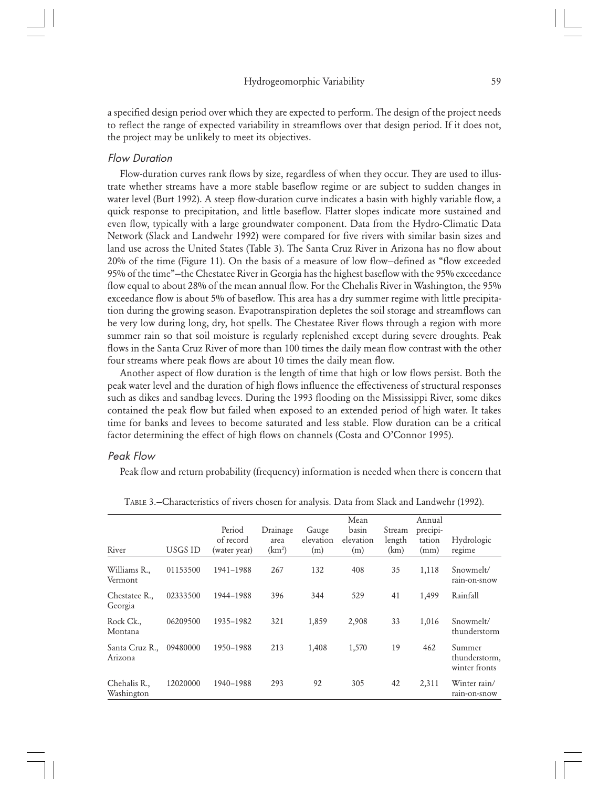a specified design period over which they are expected to perform. The design of the project needs to reflect the range of expected variability in streamflows over that design period. If it does not, the project may be unlikely to meet its objectives.

## Flow Duration

Flow-duration curves rank flows by size, regardless of when they occur. They are used to illustrate whether streams have a more stable baseflow regime or are subject to sudden changes in water level (Burt 1992). A steep flow-duration curve indicates a basin with highly variable flow, a quick response to precipitation, and little baseflow. Flatter slopes indicate more sustained and even flow, typically with a large groundwater component. Data from the Hydro-Climatic Data Network (Slack and Landwehr 1992) were compared for five rivers with similar basin sizes and land use across the United States (Table 3). The Santa Cruz River in Arizona has no flow about 20% of the time (Figure 11). On the basis of a measure of low flow—defined as "flow exceeded 95% of the time"—the Chestatee River in Georgia has the highest baseflow with the 95% exceedance flow equal to about 28% of the mean annual flow. For the Chehalis River in Washington, the 95% exceedance flow is about 5% of baseflow. This area has a dry summer regime with little precipitation during the growing season. Evapotranspiration depletes the soil storage and streamflows can be very low during long, dry, hot spells. The Chestatee River flows through a region with more summer rain so that soil moisture is regularly replenished except during severe droughts. Peak flows in the Santa Cruz River of more than 100 times the daily mean flow contrast with the other four streams where peak flows are about 10 times the daily mean flow.

Another aspect of flow duration is the length of time that high or low flows persist. Both the peak water level and the duration of high flows influence the effectiveness of structural responses such as dikes and sandbag levees. During the 1993 flooding on the Mississippi River, some dikes contained the peak flow but failed when exposed to an extended period of high water. It takes time for banks and levees to become saturated and less stable. Flow duration can be a critical factor determining the effect of high flows on channels (Costa and O'Connor 1995).

#### Peak Flow

Peak flow and return probability (frequency) information is needed when there is concern that

| River                      | USGS ID  | Period<br>of record<br>(water year) | Drainage<br>area<br>(km <sup>2</sup> ) | Gauge<br>elevation<br>(m) | Mean<br>basin<br>elevation<br>(m) | Stream<br>length<br>(km) | Annual<br>precipi-<br>tation<br>(mm) | Hydrologic<br>regime                     |
|----------------------------|----------|-------------------------------------|----------------------------------------|---------------------------|-----------------------------------|--------------------------|--------------------------------------|------------------------------------------|
| Williams R.,<br>Vermont    | 01153500 | 1941-1988                           | 267                                    | 132                       | 408                               | 35                       | 1,118                                | Snowmelt/<br>rain-on-snow                |
| Chestatee R.,<br>Georgia   | 02333500 | 1944-1988                           | 396                                    | 344                       | 529                               | 41                       | 1,499                                | Rainfall                                 |
| Rock Ck.,<br>Montana       | 06209500 | 1935-1982                           | 321                                    | 1,859                     | 2,908                             | 33                       | 1,016                                | Snowmelt/<br>thunderstorm                |
| Santa Cruz R.,<br>Arizona  | 09480000 | 1950-1988                           | 213                                    | 1,408                     | 1,570                             | 19                       | 462                                  | Summer<br>thunderstorm,<br>winter fronts |
| Chehalis R.,<br>Washington | 12020000 | 1940-1988                           | 293                                    | 92                        | 305                               | 42                       | 2,311                                | Winter rain/<br>rain-on-snow             |

TABLE 3.—Characteristics of rivers chosen for analysis. Data from Slack and Landwehr (1992).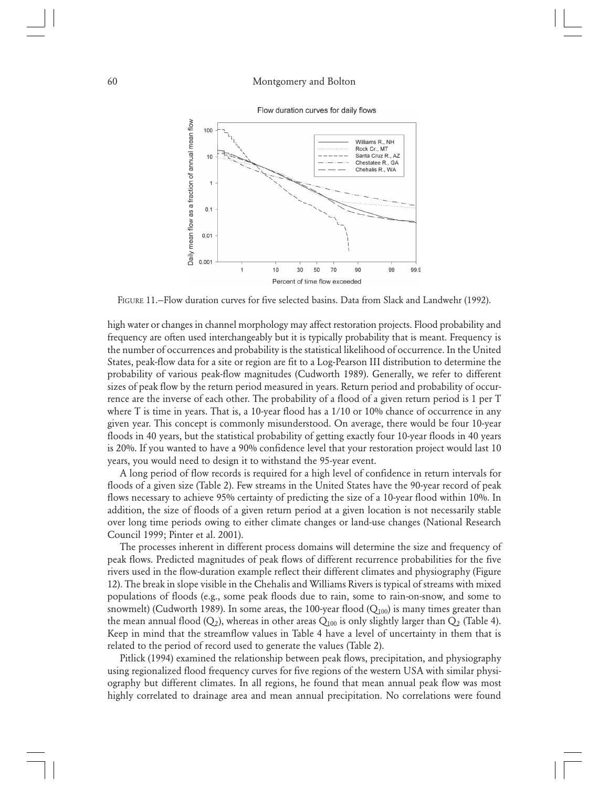

Flow duration curves for daily flows

FIGURE 11.—Flow duration curves for five selected basins. Data from Slack and Landwehr (1992).

high water or changes in channel morphology may affect restoration projects. Flood probability and frequency are often used interchangeably but it is typically probability that is meant. Frequency is the number of occurrences and probability is the statistical likelihood of occurrence. In the United States, peak-flow data for a site or region are fit to a Log-Pearson III distribution to determine the probability of various peak-flow magnitudes (Cudworth 1989). Generally, we refer to different sizes of peak flow by the return period measured in years. Return period and probability of occurrence are the inverse of each other. The probability of a flood of a given return period is 1 per T where T is time in years. That is, a 10-year flood has a 1/10 or 10% chance of occurrence in any given year. This concept is commonly misunderstood. On average, there would be four 10-year floods in 40 years, but the statistical probability of getting exactly four 10-year floods in 40 years is 20%. If you wanted to have a 90% confidence level that your restoration project would last 10 years, you would need to design it to withstand the 95-year event.

A long period of flow records is required for a high level of confidence in return intervals for floods of a given size (Table 2). Few streams in the United States have the 90-year record of peak flows necessary to achieve 95% certainty of predicting the size of a 10-year flood within 10%. In addition, the size of floods of a given return period at a given location is not necessarily stable over long time periods owing to either climate changes or land-use changes (National Research Council 1999; Pinter et al. 2001).

The processes inherent in different process domains will determine the size and frequency of peak flows. Predicted magnitudes of peak flows of different recurrence probabilities for the five rivers used in the flow-duration example reflect their different climates and physiography (Figure 12). The break in slope visible in the Chehalis and Williams Rivers is typical of streams with mixed populations of floods (e.g., some peak floods due to rain, some to rain-on-snow, and some to snowmelt) (Cudworth 1989). In some areas, the 100-year flood  $(Q_{100})$  is many times greater than the mean annual flood ( $Q_2$ ), whereas in other areas  $Q_{100}$  is only slightly larger than  $Q_2$  (Table 4). Keep in mind that the streamflow values in Table 4 have a level of uncertainty in them that is related to the period of record used to generate the values (Table 2).

Pitlick (1994) examined the relationship between peak flows, precipitation, and physiography using regionalized flood frequency curves for five regions of the western USA with similar physiography but different climates. In all regions, he found that mean annual peak flow was most highly correlated to drainage area and mean annual precipitation. No correlations were found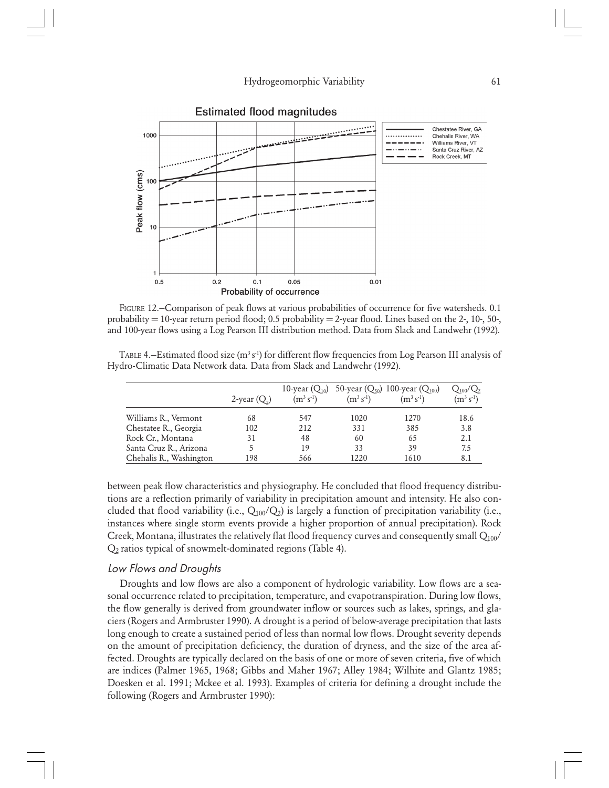

**Estimated flood magnitudes** 

FIGURE 12.—Comparison of peak flows at various probabilities of occurrence for five watersheds. 0.1 probability  $= 10$ -year return period flood; 0.5 probability  $= 2$ -year flood. Lines based on the 2-, 10-, 50-, and 100-year flows using a Log Pearson III distribution method. Data from Slack and Landwehr (1992).

TABLE 4.—Estimated flood size  $(m^3 s^1)$  for different flow frequencies from Log Pearson III analysis of Hydro-Climatic Data Network data. Data from Slack and Landwehr (1992).

|                         | 2-year $(Q_2)$ | 10-year $(Q_{10})$<br>$(m^3 s^1)$ | $(m^3 s^1)$ | 50-year $(Q_{50})$ 100-year $(Q_{100})$<br>$(m^3 s^1)$ | $Q_{100}/Q_2$<br>$(m^3 s^1)$ |
|-------------------------|----------------|-----------------------------------|-------------|--------------------------------------------------------|------------------------------|
| Williams R., Vermont    | 68             | 547                               | 1020        | 1270                                                   | 18.6                         |
| Chestatee R., Georgia   | 102            | 212                               | 331         | 385                                                    | 3.8                          |
| Rock Cr., Montana       | 31             | 48                                | 60          | 65                                                     | 2.1                          |
| Santa Cruz R., Arizona  |                | 19                                | 33          | 39                                                     | 7.5                          |
| Chehalis R., Washington | 198            | 566                               | 1220        | 1610                                                   | 8.1                          |

between peak flow characteristics and physiography. He concluded that flood frequency distributions are a reflection primarily of variability in precipitation amount and intensity. He also concluded that flood variability (i.e.,  $Q_{100}/Q_2$ ) is largely a function of precipitation variability (i.e., instances where single storm events provide a higher proportion of annual precipitation). Rock Creek, Montana, illustrates the relatively flat flood frequency curves and consequently small  $Q_{100}$ / Q2 ratios typical of snowmelt-dominated regions (Table 4).

## Low Flows and Droughts

Droughts and low flows are also a component of hydrologic variability. Low flows are a seasonal occurrence related to precipitation, temperature, and evapotranspiration. During low flows, the flow generally is derived from groundwater inflow or sources such as lakes, springs, and glaciers (Rogers and Armbruster 1990). A drought is a period of below-average precipitation that lasts long enough to create a sustained period of less than normal low flows. Drought severity depends on the amount of precipitation deficiency, the duration of dryness, and the size of the area affected. Droughts are typically declared on the basis of one or more of seven criteria, five of which are indices (Palmer 1965, 1968; Gibbs and Maher 1967; Alley 1984; Wilhite and Glantz 1985; Doesken et al. 1991; Mckee et al. 1993). Examples of criteria for defining a drought include the following (Rogers and Armbruster 1990):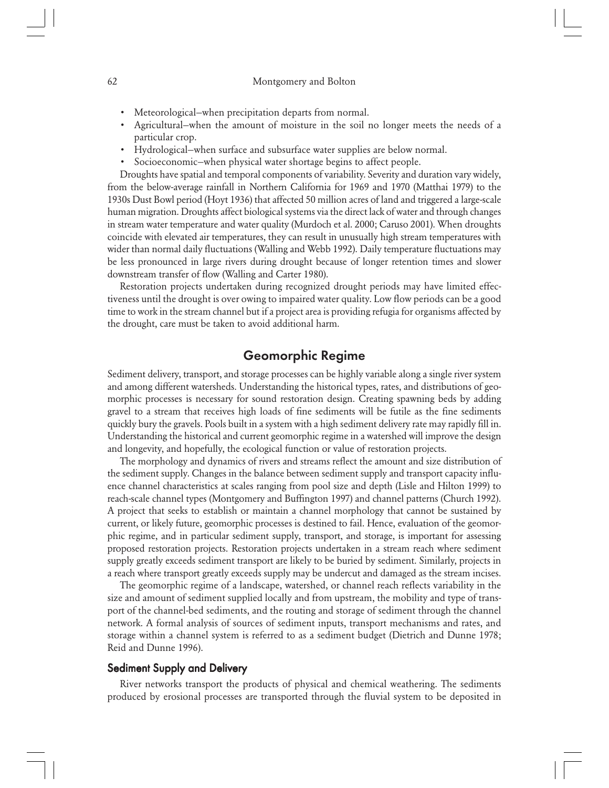- Meteorological—when precipitation departs from normal.
- Agricultural—when the amount of moisture in the soil no longer meets the needs of a particular crop.
- Hydrological—when surface and subsurface water supplies are below normal.
- Socioeconomic—when physical water shortage begins to affect people.

Droughts have spatial and temporal components of variability. Severity and duration vary widely, from the below-average rainfall in Northern California for 1969 and 1970 (Matthai 1979) to the 1930s Dust Bowl period (Hoyt 1936) that affected 50 million acres of land and triggered a large-scale human migration. Droughts affect biological systems via the direct lack of water and through changes in stream water temperature and water quality (Murdoch et al. 2000; Caruso 2001). When droughts coincide with elevated air temperatures, they can result in unusually high stream temperatures with wider than normal daily fluctuations (Walling and Webb 1992). Daily temperature fluctuations may be less pronounced in large rivers during drought because of longer retention times and slower downstream transfer of flow (Walling and Carter 1980).

Restoration projects undertaken during recognized drought periods may have limited effectiveness until the drought is over owing to impaired water quality. Low flow periods can be a good time to work in the stream channel but if a project area is providing refugia for organisms affected by the drought, care must be taken to avoid additional harm.

# Geomorphic Regime

Sediment delivery, transport, and storage processes can be highly variable along a single river system and among different watersheds. Understanding the historical types, rates, and distributions of geomorphic processes is necessary for sound restoration design. Creating spawning beds by adding gravel to a stream that receives high loads of fine sediments will be futile as the fine sediments quickly bury the gravels. Pools built in a system with a high sediment delivery rate may rapidly fill in. Understanding the historical and current geomorphic regime in a watershed will improve the design and longevity, and hopefully, the ecological function or value of restoration projects.

The morphology and dynamics of rivers and streams reflect the amount and size distribution of the sediment supply. Changes in the balance between sediment supply and transport capacity influence channel characteristics at scales ranging from pool size and depth (Lisle and Hilton 1999) to reach-scale channel types (Montgomery and Buffington 1997) and channel patterns (Church 1992). A project that seeks to establish or maintain a channel morphology that cannot be sustained by current, or likely future, geomorphic processes is destined to fail. Hence, evaluation of the geomorphic regime, and in particular sediment supply, transport, and storage, is important for assessing proposed restoration projects. Restoration projects undertaken in a stream reach where sediment supply greatly exceeds sediment transport are likely to be buried by sediment. Similarly, projects in a reach where transport greatly exceeds supply may be undercut and damaged as the stream incises.

The geomorphic regime of a landscape, watershed, or channel reach reflects variability in the size and amount of sediment supplied locally and from upstream, the mobility and type of transport of the channel-bed sediments, and the routing and storage of sediment through the channel network. A formal analysis of sources of sediment inputs, transport mechanisms and rates, and storage within a channel system is referred to as a sediment budget (Dietrich and Dunne 1978; Reid and Dunne 1996).

# Sediment Supply and Delivery

River networks transport the products of physical and chemical weathering. The sediments produced by erosional processes are transported through the fluvial system to be deposited in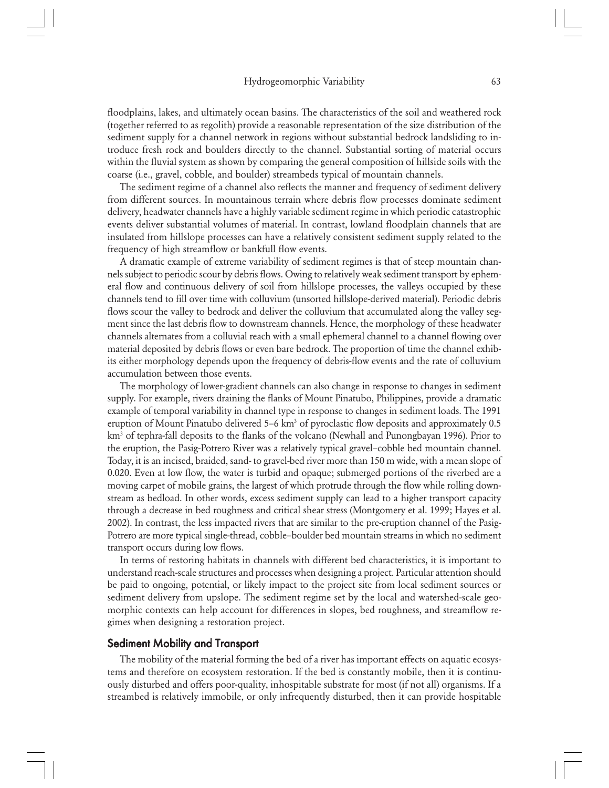floodplains, lakes, and ultimately ocean basins. The characteristics of the soil and weathered rock (together referred to as regolith) provide a reasonable representation of the size distribution of the sediment supply for a channel network in regions without substantial bedrock landsliding to introduce fresh rock and boulders directly to the channel. Substantial sorting of material occurs within the fluvial system as shown by comparing the general composition of hillside soils with the coarse (i.e., gravel, cobble, and boulder) streambeds typical of mountain channels.

The sediment regime of a channel also reflects the manner and frequency of sediment delivery from different sources. In mountainous terrain where debris flow processes dominate sediment delivery, headwater channels have a highly variable sediment regime in which periodic catastrophic events deliver substantial volumes of material. In contrast, lowland floodplain channels that are insulated from hillslope processes can have a relatively consistent sediment supply related to the frequency of high streamflow or bankfull flow events.

A dramatic example of extreme variability of sediment regimes is that of steep mountain channels subject to periodic scour by debris flows. Owing to relatively weak sediment transport by ephemeral flow and continuous delivery of soil from hillslope processes, the valleys occupied by these channels tend to fill over time with colluvium (unsorted hillslope-derived material). Periodic debris flows scour the valley to bedrock and deliver the colluvium that accumulated along the valley segment since the last debris flow to downstream channels. Hence, the morphology of these headwater channels alternates from a colluvial reach with a small ephemeral channel to a channel flowing over material deposited by debris flows or even bare bedrock. The proportion of time the channel exhibits either morphology depends upon the frequency of debris-flow events and the rate of colluvium accumulation between those events.

The morphology of lower-gradient channels can also change in response to changes in sediment supply. For example, rivers draining the flanks of Mount Pinatubo, Philippines, provide a dramatic example of temporal variability in channel type in response to changes in sediment loads. The 1991 eruption of Mount Pinatubo delivered 5–6 km<sup>3</sup> of pyroclastic flow deposits and approximately 0.5 km<sup>3</sup> of tephra-fall deposits to the flanks of the volcano (Newhall and Punongbayan 1996). Prior to the eruption, the Pasig-Potrero River was a relatively typical gravel–cobble bed mountain channel. Today, it is an incised, braided, sand- to gravel-bed river more than 150 m wide, with a mean slope of 0.020. Even at low flow, the water is turbid and opaque; submerged portions of the riverbed are a moving carpet of mobile grains, the largest of which protrude through the flow while rolling downstream as bedload. In other words, excess sediment supply can lead to a higher transport capacity through a decrease in bed roughness and critical shear stress (Montgomery et al. 1999; Hayes et al. 2002). In contrast, the less impacted rivers that are similar to the pre-eruption channel of the Pasig-Potrero are more typical single-thread, cobble–boulder bed mountain streams in which no sediment transport occurs during low flows.

In terms of restoring habitats in channels with different bed characteristics, it is important to understand reach-scale structures and processes when designing a project. Particular attention should be paid to ongoing, potential, or likely impact to the project site from local sediment sources or sediment delivery from upslope. The sediment regime set by the local and watershed-scale geomorphic contexts can help account for differences in slopes, bed roughness, and streamflow regimes when designing a restoration project.

## Sediment Mobility and Transport

The mobility of the material forming the bed of a river has important effects on aquatic ecosystems and therefore on ecosystem restoration. If the bed is constantly mobile, then it is continuously disturbed and offers poor-quality, inhospitable substrate for most (if not all) organisms. If a streambed is relatively immobile, or only infrequently disturbed, then it can provide hospitable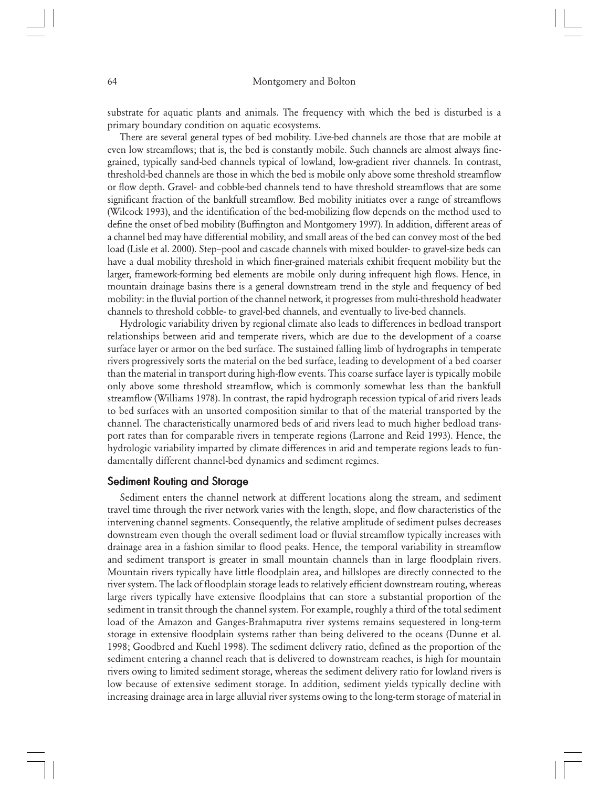substrate for aquatic plants and animals. The frequency with which the bed is disturbed is a primary boundary condition on aquatic ecosystems.

There are several general types of bed mobility. Live-bed channels are those that are mobile at even low streamflows; that is, the bed is constantly mobile. Such channels are almost always finegrained, typically sand-bed channels typical of lowland, low-gradient river channels. In contrast, threshold-bed channels are those in which the bed is mobile only above some threshold streamflow or flow depth. Gravel- and cobble-bed channels tend to have threshold streamflows that are some significant fraction of the bankfull streamflow. Bed mobility initiates over a range of streamflows (Wilcock 1993), and the identification of the bed-mobilizing flow depends on the method used to define the onset of bed mobility (Buffington and Montgomery 1997). In addition, different areas of a channel bed may have differential mobility, and small areas of the bed can convey most of the bed load (Lisle et al. 2000). Step–pool and cascade channels with mixed boulder- to gravel-size beds can have a dual mobility threshold in which finer-grained materials exhibit frequent mobility but the larger, framework-forming bed elements are mobile only during infrequent high flows. Hence, in mountain drainage basins there is a general downstream trend in the style and frequency of bed mobility: in the fluvial portion of the channel network, it progresses from multi-threshold headwater channels to threshold cobble- to gravel-bed channels, and eventually to live-bed channels.

Hydrologic variability driven by regional climate also leads to differences in bedload transport relationships between arid and temperate rivers, which are due to the development of a coarse surface layer or armor on the bed surface. The sustained falling limb of hydrographs in temperate rivers progressively sorts the material on the bed surface, leading to development of a bed coarser than the material in transport during high-flow events. This coarse surface layer is typically mobile only above some threshold streamflow, which is commonly somewhat less than the bankfull streamflow (Williams 1978). In contrast, the rapid hydrograph recession typical of arid rivers leads to bed surfaces with an unsorted composition similar to that of the material transported by the channel. The characteristically unarmored beds of arid rivers lead to much higher bedload transport rates than for comparable rivers in temperate regions (Larrone and Reid 1993). Hence, the hydrologic variability imparted by climate differences in arid and temperate regions leads to fundamentally different channel-bed dynamics and sediment regimes.

# Sediment Routing and Storage

Sediment enters the channel network at different locations along the stream, and sediment travel time through the river network varies with the length, slope, and flow characteristics of the intervening channel segments. Consequently, the relative amplitude of sediment pulses decreases downstream even though the overall sediment load or fluvial streamflow typically increases with drainage area in a fashion similar to flood peaks. Hence, the temporal variability in streamflow and sediment transport is greater in small mountain channels than in large floodplain rivers. Mountain rivers typically have little floodplain area, and hillslopes are directly connected to the river system. The lack of floodplain storage leads to relatively efficient downstream routing, whereas large rivers typically have extensive floodplains that can store a substantial proportion of the sediment in transit through the channel system. For example, roughly a third of the total sediment load of the Amazon and Ganges-Brahmaputra river systems remains sequestered in long-term storage in extensive floodplain systems rather than being delivered to the oceans (Dunne et al. 1998; Goodbred and Kuehl 1998). The sediment delivery ratio, defined as the proportion of the sediment entering a channel reach that is delivered to downstream reaches, is high for mountain rivers owing to limited sediment storage, whereas the sediment delivery ratio for lowland rivers is low because of extensive sediment storage. In addition, sediment yields typically decline with increasing drainage area in large alluvial river systems owing to the long-term storage of material in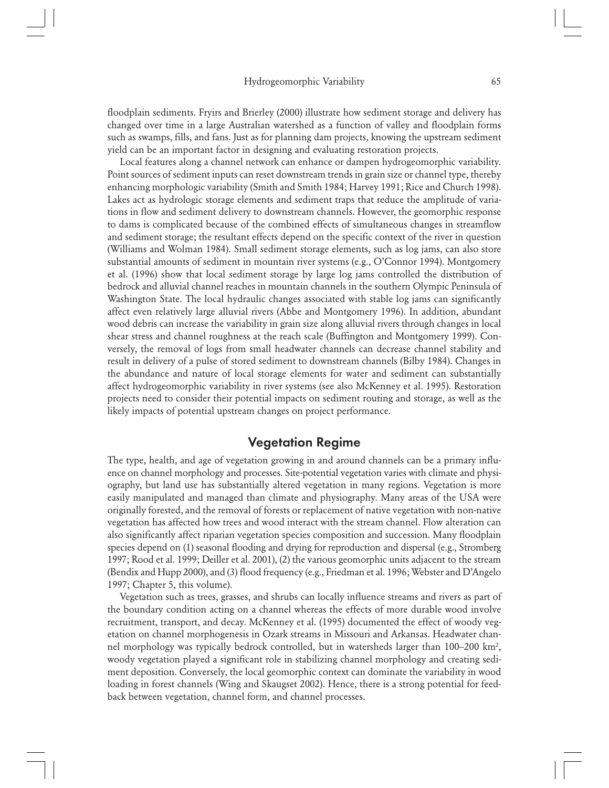floodplain sediments. Fryirs and Brierley (2000) illustrate how sediment storage and delivery has changed over time in a large Australian watershed as a function of valley and floodplain forms such as swamps, fills, and fans. Just as for planning dam projects, knowing the upstream sediment yield can be an important factor in designing and evaluating restoration projects.

Local features along a channel network can enhance or dampen hydrogeomorphic variability. Point sources of sediment inputs can reset downstream trends in grain size or channel type, thereby enhancing morphologic variability (Smith and Smith 1984; Harvey 1991; Rice and Church 1998). Lakes act as hydrologic storage elements and sediment traps that reduce the amplitude of variations in flow and sediment delivery to downstream channels. However, the geomorphic response to dams is complicated because of the combined effects of simultaneous changes in streamflow and sediment storage; the resultant effects depend on the specific context of the river in question (Williams and Wolman 1984). Small sediment storage elements, such as log jams, can also store substantial amounts of sediment in mountain river systems (e.g., O'Connor 1994). Montgomery et al. (1996) show that local sediment storage by large log jams controlled the distribution of bedrock and alluvial channel reaches in mountain channels in the southern Olympic Peninsula of Washington State. The local hydraulic changes associated with stable log jams can significantly affect even relatively large alluvial rivers (Abbe and Montgomery 1996). In addition, abundant wood debris can increase the variability in grain size along alluvial rivers through changes in local shear stress and channel roughness at the reach scale (Buffington and Montgomery 1999). Conversely, the removal of logs from small headwater channels can decrease channel stability and result in delivery of a pulse of stored sediment to downstream channels (Bilby 1984). Changes in the abundance and nature of local storage elements for water and sediment can substantially affect hydrogeomorphic variability in river systems (see also McKenney et al. 1995). Restoration projects need to consider their potential impacts on sediment routing and storage, as well as the likely impacts of potential upstream changes on project performance.

# Vegetation Regime

The type, health, and age of vegetation growing in and around channels can be a primary influence on channel morphology and processes. Site-potential vegetation varies with climate and physiography, but land use has substantially altered vegetation in many regions. Vegetation is more easily manipulated and managed than climate and physiography. Many areas of the USA were originally forested, and the removal of forests or replacement of native vegetation with non-native vegetation has affected how trees and wood interact with the stream channel. Flow alteration can also significantly affect riparian vegetation species composition and succession. Many floodplain species depend on (1) seasonal flooding and drying for reproduction and dispersal (e.g., Stromberg 1997; Rood et al. 1999; Deiller et al. 2001), (2) the various geomorphic units adjacent to the stream (Bendix and Hupp 2000), and (3) flood frequency (e.g., Friedman et al. 1996; Webster and D'Angelo 1997; Chapter 5, this volume).

Vegetation such as trees, grasses, and shrubs can locally influence streams and rivers as part of the boundary condition acting on a channel whereas the effects of more durable wood involve recruitment, transport, and decay. McKenney et al. (1995) documented the effect of woody vegetation on channel morphogenesis in Ozark streams in Missouri and Arkansas. Headwater channel morphology was typically bedrock controlled, but in watersheds larger than 100–200 km<sup>2</sup>, woody vegetation played a significant role in stabilizing channel morphology and creating sediment deposition. Conversely, the local geomorphic context can dominate the variability in wood loading in forest channels (Wing and Skaugset 2002). Hence, there is a strong potential for feedback between vegetation, channel form, and channel processes.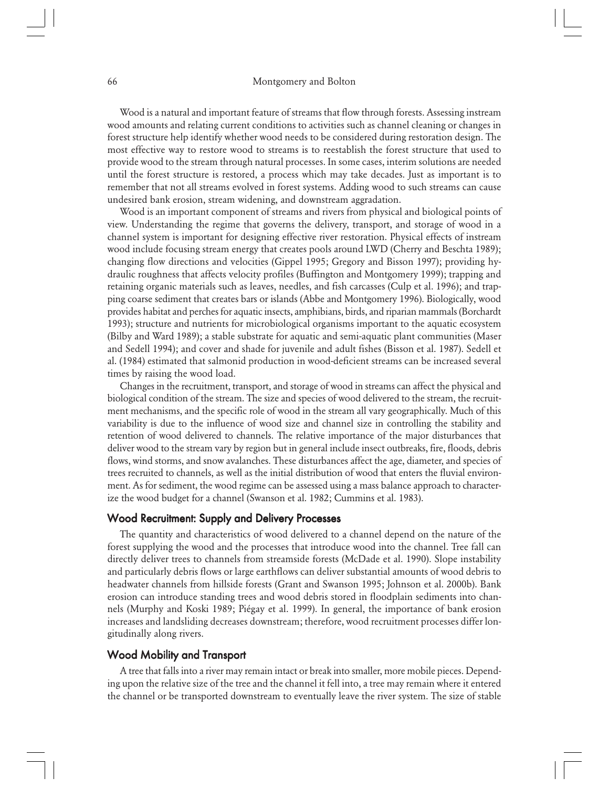Wood is a natural and important feature of streams that flow through forests. Assessing instream wood amounts and relating current conditions to activities such as channel cleaning or changes in forest structure help identify whether wood needs to be considered during restoration design. The most effective way to restore wood to streams is to reestablish the forest structure that used to provide wood to the stream through natural processes. In some cases, interim solutions are needed until the forest structure is restored, a process which may take decades. Just as important is to remember that not all streams evolved in forest systems. Adding wood to such streams can cause undesired bank erosion, stream widening, and downstream aggradation.

Wood is an important component of streams and rivers from physical and biological points of view. Understanding the regime that governs the delivery, transport, and storage of wood in a channel system is important for designing effective river restoration. Physical effects of instream wood include focusing stream energy that creates pools around LWD (Cherry and Beschta 1989); changing flow directions and velocities (Gippel 1995; Gregory and Bisson 1997); providing hydraulic roughness that affects velocity profiles (Buffington and Montgomery 1999); trapping and retaining organic materials such as leaves, needles, and fish carcasses (Culp et al. 1996); and trapping coarse sediment that creates bars or islands (Abbe and Montgomery 1996). Biologically, wood provides habitat and perches for aquatic insects, amphibians, birds, and riparian mammals (Borchardt 1993); structure and nutrients for microbiological organisms important to the aquatic ecosystem (Bilby and Ward 1989); a stable substrate for aquatic and semi-aquatic plant communities (Maser and Sedell 1994); and cover and shade for juvenile and adult fishes (Bisson et al. 1987). Sedell et al. (1984) estimated that salmonid production in wood-deficient streams can be increased several times by raising the wood load.

Changes in the recruitment, transport, and storage of wood in streams can affect the physical and biological condition of the stream. The size and species of wood delivered to the stream, the recruitment mechanisms, and the specific role of wood in the stream all vary geographically. Much of this variability is due to the influence of wood size and channel size in controlling the stability and retention of wood delivered to channels. The relative importance of the major disturbances that deliver wood to the stream vary by region but in general include insect outbreaks, fire, floods, debris flows, wind storms, and snow avalanches. These disturbances affect the age, diameter, and species of trees recruited to channels, as well as the initial distribution of wood that enters the fluvial environment. As for sediment, the wood regime can be assessed using a mass balance approach to characterize the wood budget for a channel (Swanson et al. 1982; Cummins et al. 1983).

## Wood Recruitment: Supply and Delivery Processes

The quantity and characteristics of wood delivered to a channel depend on the nature of the forest supplying the wood and the processes that introduce wood into the channel. Tree fall can directly deliver trees to channels from streamside forests (McDade et al. 1990). Slope instability and particularly debris flows or large earthflows can deliver substantial amounts of wood debris to headwater channels from hillside forests (Grant and Swanson 1995; Johnson et al. 2000b). Bank erosion can introduce standing trees and wood debris stored in floodplain sediments into channels (Murphy and Koski 1989; Piégay et al. 1999). In general, the importance of bank erosion increases and landsliding decreases downstream; therefore, wood recruitment processes differ longitudinally along rivers.

## Wood Mobility and Transport

A tree that falls into a river may remain intact or break into smaller, more mobile pieces. Depending upon the relative size of the tree and the channel it fell into, a tree may remain where it entered the channel or be transported downstream to eventually leave the river system. The size of stable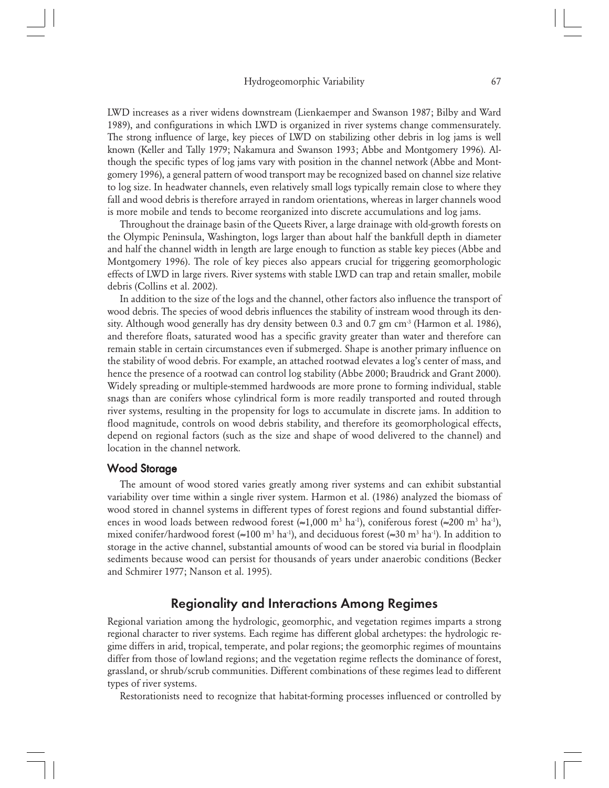LWD increases as a river widens downstream (Lienkaemper and Swanson 1987; Bilby and Ward 1989), and configurations in which LWD is organized in river systems change commensurately. The strong influence of large, key pieces of LWD on stabilizing other debris in log jams is well known (Keller and Tally 1979; Nakamura and Swanson 1993; Abbe and Montgomery 1996). Although the specific types of log jams vary with position in the channel network (Abbe and Montgomery 1996), a general pattern of wood transport may be recognized based on channel size relative to log size. In headwater channels, even relatively small logs typically remain close to where they fall and wood debris is therefore arrayed in random orientations, whereas in larger channels wood is more mobile and tends to become reorganized into discrete accumulations and log jams.

Throughout the drainage basin of the Queets River, a large drainage with old-growth forests on the Olympic Peninsula, Washington, logs larger than about half the bankfull depth in diameter and half the channel width in length are large enough to function as stable key pieces (Abbe and Montgomery 1996). The role of key pieces also appears crucial for triggering geomorphologic effects of LWD in large rivers. River systems with stable LWD can trap and retain smaller, mobile debris (Collins et al. 2002).

In addition to the size of the logs and the channel, other factors also influence the transport of wood debris. The species of wood debris influences the stability of instream wood through its density. Although wood generally has dry density between 0.3 and 0.7 gm cm<sup>-3</sup> (Harmon et al. 1986), and therefore floats, saturated wood has a specific gravity greater than water and therefore can remain stable in certain circumstances even if submerged. Shape is another primary influence on the stability of wood debris. For example, an attached rootwad elevates a log's center of mass, and hence the presence of a rootwad can control log stability (Abbe 2000; Braudrick and Grant 2000). Widely spreading or multiple-stemmed hardwoods are more prone to forming individual, stable snags than are conifers whose cylindrical form is more readily transported and routed through river systems, resulting in the propensity for logs to accumulate in discrete jams. In addition to flood magnitude, controls on wood debris stability, and therefore its geomorphological effects, depend on regional factors (such as the size and shape of wood delivered to the channel) and location in the channel network.

# Wood Storage

The amount of wood stored varies greatly among river systems and can exhibit substantial variability over time within a single river system. Harmon et al. (1986) analyzed the biomass of wood stored in channel systems in different types of forest regions and found substantial differences in wood loads between redwood forest  $(>=1,000 \text{ m}^3 \text{ ha}^{-1})$ , coniferous forest  $(>=200 \text{ m}^3 \text{ ha}^{-1})$ , mixed conifer/hardwood forest (≈100 m<sup>3</sup> ha<sup>-1</sup>), and deciduous forest (≈30 m<sup>3</sup> ha<sup>-1</sup>). In addition to storage in the active channel, substantial amounts of wood can be stored via burial in floodplain sediments because wood can persist for thousands of years under anaerobic conditions (Becker and Schmirer 1977; Nanson et al. 1995).

# Regionality and Interactions Among Regimes

Regional variation among the hydrologic, geomorphic, and vegetation regimes imparts a strong regional character to river systems. Each regime has different global archetypes: the hydrologic regime differs in arid, tropical, temperate, and polar regions; the geomorphic regimes of mountains differ from those of lowland regions; and the vegetation regime reflects the dominance of forest, grassland, or shrub/scrub communities. Different combinations of these regimes lead to different types of river systems.

Restorationists need to recognize that habitat-forming processes influenced or controlled by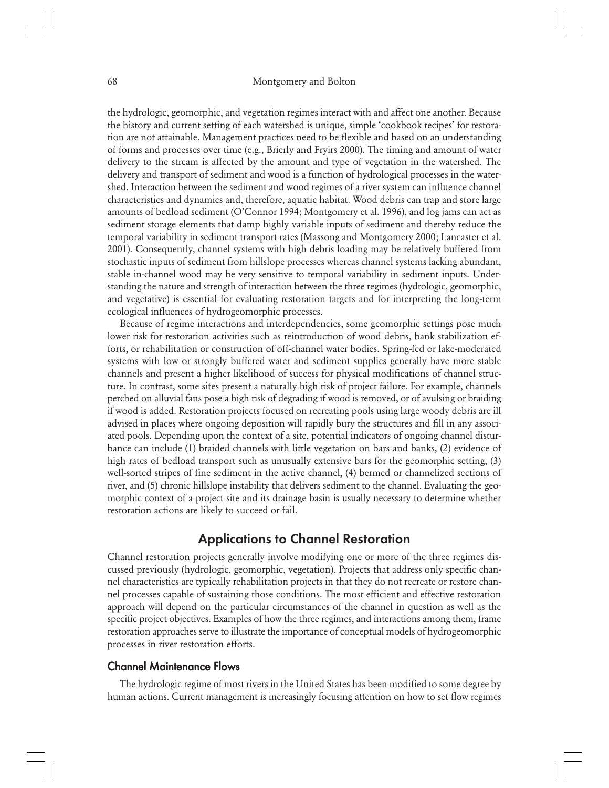the hydrologic, geomorphic, and vegetation regimes interact with and affect one another. Because the history and current setting of each watershed is unique, simple 'cookbook recipes' for restoration are not attainable. Management practices need to be flexible and based on an understanding of forms and processes over time (e.g., Brierly and Fryirs 2000). The timing and amount of water delivery to the stream is affected by the amount and type of vegetation in the watershed. The delivery and transport of sediment and wood is a function of hydrological processes in the watershed. Interaction between the sediment and wood regimes of a river system can influence channel characteristics and dynamics and, therefore, aquatic habitat. Wood debris can trap and store large amounts of bedload sediment (O'Connor 1994; Montgomery et al. 1996), and log jams can act as sediment storage elements that damp highly variable inputs of sediment and thereby reduce the temporal variability in sediment transport rates (Massong and Montgomery 2000; Lancaster et al. 2001). Consequently, channel systems with high debris loading may be relatively buffered from stochastic inputs of sediment from hillslope processes whereas channel systems lacking abundant, stable in-channel wood may be very sensitive to temporal variability in sediment inputs. Understanding the nature and strength of interaction between the three regimes (hydrologic, geomorphic, and vegetative) is essential for evaluating restoration targets and for interpreting the long-term ecological influences of hydrogeomorphic processes.

Because of regime interactions and interdependencies, some geomorphic settings pose much lower risk for restoration activities such as reintroduction of wood debris, bank stabilization efforts, or rehabilitation or construction of off-channel water bodies. Spring-fed or lake-moderated systems with low or strongly buffered water and sediment supplies generally have more stable channels and present a higher likelihood of success for physical modifications of channel structure. In contrast, some sites present a naturally high risk of project failure. For example, channels perched on alluvial fans pose a high risk of degrading if wood is removed, or of avulsing or braiding if wood is added. Restoration projects focused on recreating pools using large woody debris are ill advised in places where ongoing deposition will rapidly bury the structures and fill in any associated pools. Depending upon the context of a site, potential indicators of ongoing channel disturbance can include (1) braided channels with little vegetation on bars and banks, (2) evidence of high rates of bedload transport such as unusually extensive bars for the geomorphic setting, (3) well-sorted stripes of fine sediment in the active channel, (4) bermed or channelized sections of river, and (5) chronic hillslope instability that delivers sediment to the channel. Evaluating the geomorphic context of a project site and its drainage basin is usually necessary to determine whether restoration actions are likely to succeed or fail.

# Applications to Channel Restoration

Channel restoration projects generally involve modifying one or more of the three regimes discussed previously (hydrologic, geomorphic, vegetation). Projects that address only specific channel characteristics are typically rehabilitation projects in that they do not recreate or restore channel processes capable of sustaining those conditions. The most efficient and effective restoration approach will depend on the particular circumstances of the channel in question as well as the specific project objectives. Examples of how the three regimes, and interactions among them, frame restoration approaches serve to illustrate the importance of conceptual models of hydrogeomorphic processes in river restoration efforts.

#### Channel Maintenance Flows

The hydrologic regime of most rivers in the United States has been modified to some degree by human actions. Current management is increasingly focusing attention on how to set flow regimes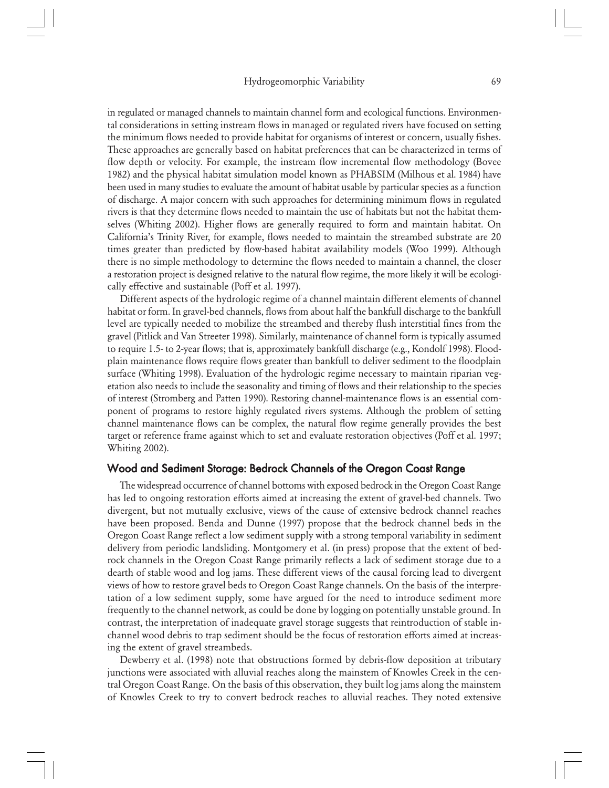in regulated or managed channels to maintain channel form and ecological functions. Environmental considerations in setting instream flows in managed or regulated rivers have focused on setting the minimum flows needed to provide habitat for organisms of interest or concern, usually fishes. These approaches are generally based on habitat preferences that can be characterized in terms of flow depth or velocity. For example, the instream flow incremental flow methodology (Bovee 1982) and the physical habitat simulation model known as PHABSIM (Milhous et al. 1984) have been used in many studies to evaluate the amount of habitat usable by particular species as a function of discharge. A major concern with such approaches for determining minimum flows in regulated rivers is that they determine flows needed to maintain the use of habitats but not the habitat themselves (Whiting 2002). Higher flows are generally required to form and maintain habitat. On California's Trinity River, for example, flows needed to maintain the streambed substrate are 20 times greater than predicted by flow-based habitat availability models (Woo 1999). Although there is no simple methodology to determine the flows needed to maintain a channel, the closer a restoration project is designed relative to the natural flow regime, the more likely it will be ecologically effective and sustainable (Poff et al. 1997).

Different aspects of the hydrologic regime of a channel maintain different elements of channel habitat or form. In gravel-bed channels, flows from about half the bankfull discharge to the bankfull level are typically needed to mobilize the streambed and thereby flush interstitial fines from the gravel (Pitlick and Van Streeter 1998). Similarly, maintenance of channel form is typically assumed to require 1.5- to 2-year flows; that is, approximately bankfull discharge (e.g., Kondolf 1998). Floodplain maintenance flows require flows greater than bankfull to deliver sediment to the floodplain surface (Whiting 1998). Evaluation of the hydrologic regime necessary to maintain riparian vegetation also needs to include the seasonality and timing of flows and their relationship to the species of interest (Stromberg and Patten 1990). Restoring channel-maintenance flows is an essential component of programs to restore highly regulated rivers systems. Although the problem of setting channel maintenance flows can be complex, the natural flow regime generally provides the best target or reference frame against which to set and evaluate restoration objectives (Poff et al. 1997; Whiting 2002).

#### Wood and Sediment Storage: Bedrock Channels of the Oregon Coast Range

The widespread occurrence of channel bottoms with exposed bedrock in the Oregon Coast Range has led to ongoing restoration efforts aimed at increasing the extent of gravel-bed channels. Two divergent, but not mutually exclusive, views of the cause of extensive bedrock channel reaches have been proposed. Benda and Dunne (1997) propose that the bedrock channel beds in the Oregon Coast Range reflect a low sediment supply with a strong temporal variability in sediment delivery from periodic landsliding. Montgomery et al. (in press) propose that the extent of bedrock channels in the Oregon Coast Range primarily reflects a lack of sediment storage due to a dearth of stable wood and log jams. These different views of the causal forcing lead to divergent views of how to restore gravel beds to Oregon Coast Range channels. On the basis of the interpretation of a low sediment supply, some have argued for the need to introduce sediment more frequently to the channel network, as could be done by logging on potentially unstable ground. In contrast, the interpretation of inadequate gravel storage suggests that reintroduction of stable inchannel wood debris to trap sediment should be the focus of restoration efforts aimed at increasing the extent of gravel streambeds.

Dewberry et al. (1998) note that obstructions formed by debris-flow deposition at tributary junctions were associated with alluvial reaches along the mainstem of Knowles Creek in the central Oregon Coast Range. On the basis of this observation, they built log jams along the mainstem of Knowles Creek to try to convert bedrock reaches to alluvial reaches. They noted extensive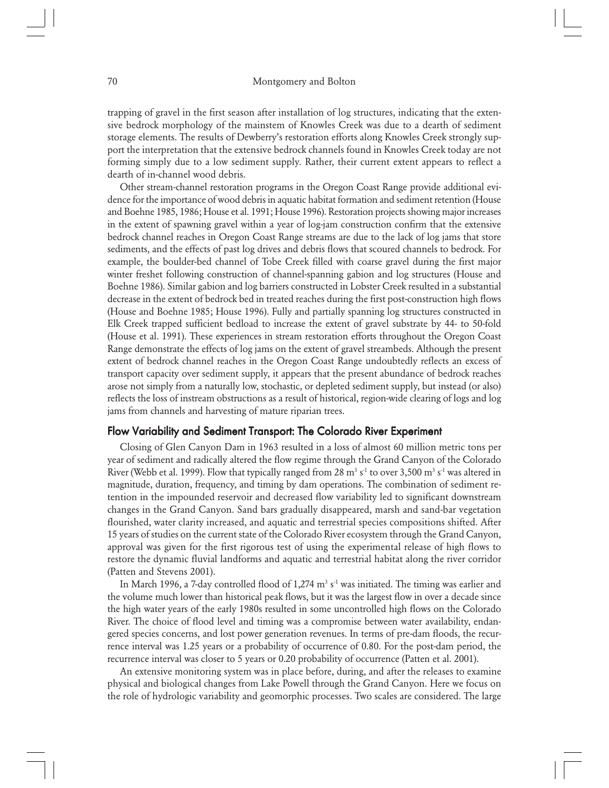trapping of gravel in the first season after installation of log structures, indicating that the extensive bedrock morphology of the mainstem of Knowles Creek was due to a dearth of sediment storage elements. The results of Dewberry's restoration efforts along Knowles Creek strongly support the interpretation that the extensive bedrock channels found in Knowles Creek today are not forming simply due to a low sediment supply. Rather, their current extent appears to reflect a dearth of in-channel wood debris.

Other stream-channel restoration programs in the Oregon Coast Range provide additional evidence for the importance of wood debris in aquatic habitat formation and sediment retention (House and Boehne 1985, 1986; House et al. 1991; House 1996). Restoration projects showing major increases in the extent of spawning gravel within a year of log-jam construction confirm that the extensive bedrock channel reaches in Oregon Coast Range streams are due to the lack of log jams that store sediments, and the effects of past log drives and debris flows that scoured channels to bedrock. For example, the boulder-bed channel of Tobe Creek filled with coarse gravel during the first major winter freshet following construction of channel-spanning gabion and log structures (House and Boehne 1986). Similar gabion and log barriers constructed in Lobster Creek resulted in a substantial decrease in the extent of bedrock bed in treated reaches during the first post-construction high flows (House and Boehne 1985; House 1996). Fully and partially spanning log structures constructed in Elk Creek trapped sufficient bedload to increase the extent of gravel substrate by 44- to 50-fold (House et al. 1991). These experiences in stream restoration efforts throughout the Oregon Coast Range demonstrate the effects of log jams on the extent of gravel streambeds. Although the present extent of bedrock channel reaches in the Oregon Coast Range undoubtedly reflects an excess of transport capacity over sediment supply, it appears that the present abundance of bedrock reaches arose not simply from a naturally low, stochastic, or depleted sediment supply, but instead (or also) reflects the loss of instream obstructions as a result of historical, region-wide clearing of logs and log jams from channels and harvesting of mature riparian trees.

# Flow Variability and Sediment Transport: The Colorado River Experiment

Closing of Glen Canyon Dam in 1963 resulted in a loss of almost 60 million metric tons per year of sediment and radically altered the flow regime through the Grand Canyon of the Colorado River (Webb et al. 1999). Flow that typically ranged from 28  $\mathrm{m}^3$  s<sup>1</sup> to over 3,500  $\mathrm{m}^3$  s<sup>1</sup> was altered in magnitude, duration, frequency, and timing by dam operations. The combination of sediment retention in the impounded reservoir and decreased flow variability led to significant downstream changes in the Grand Canyon. Sand bars gradually disappeared, marsh and sand-bar vegetation flourished, water clarity increased, and aquatic and terrestrial species compositions shifted. After 15 years of studies on the current state of the Colorado River ecosystem through the Grand Canyon, approval was given for the first rigorous test of using the experimental release of high flows to restore the dynamic fluvial landforms and aquatic and terrestrial habitat along the river corridor (Patten and Stevens 2001).

In March 1996, a 7-day controlled flood of 1,274  $\mathrm{m}^{3}$  s<sup>-1</sup> was initiated. The timing was earlier and the volume much lower than historical peak flows, but it was the largest flow in over a decade since the high water years of the early 1980s resulted in some uncontrolled high flows on the Colorado River. The choice of flood level and timing was a compromise between water availability, endangered species concerns, and lost power generation revenues. In terms of pre-dam floods, the recurrence interval was 1.25 years or a probability of occurrence of 0.80. For the post-dam period, the recurrence interval was closer to 5 years or 0.20 probability of occurrence (Patten et al. 2001).

An extensive monitoring system was in place before, during, and after the releases to examine physical and biological changes from Lake Powell through the Grand Canyon. Here we focus on the role of hydrologic variability and geomorphic processes. Two scales are considered. The large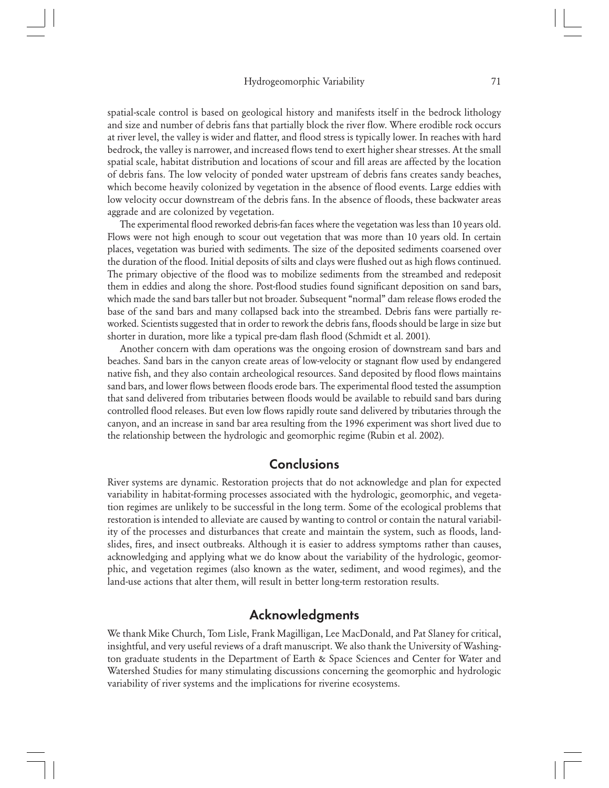spatial-scale control is based on geological history and manifests itself in the bedrock lithology and size and number of debris fans that partially block the river flow. Where erodible rock occurs at river level, the valley is wider and flatter, and flood stress is typically lower. In reaches with hard bedrock, the valley is narrower, and increased flows tend to exert higher shear stresses. At the small spatial scale, habitat distribution and locations of scour and fill areas are affected by the location of debris fans. The low velocity of ponded water upstream of debris fans creates sandy beaches, which become heavily colonized by vegetation in the absence of flood events. Large eddies with low velocity occur downstream of the debris fans. In the absence of floods, these backwater areas aggrade and are colonized by vegetation.

The experimental flood reworked debris-fan faces where the vegetation was less than 10 years old. Flows were not high enough to scour out vegetation that was more than 10 years old. In certain places, vegetation was buried with sediments. The size of the deposited sediments coarsened over the duration of the flood. Initial deposits of silts and clays were flushed out as high flows continued. The primary objective of the flood was to mobilize sediments from the streambed and redeposit them in eddies and along the shore. Post-flood studies found significant deposition on sand bars, which made the sand bars taller but not broader. Subsequent "normal" dam release flows eroded the base of the sand bars and many collapsed back into the streambed. Debris fans were partially reworked. Scientists suggested that in order to rework the debris fans, floods should be large in size but shorter in duration, more like a typical pre-dam flash flood (Schmidt et al. 2001).

Another concern with dam operations was the ongoing erosion of downstream sand bars and beaches. Sand bars in the canyon create areas of low-velocity or stagnant flow used by endangered native fish, and they also contain archeological resources. Sand deposited by flood flows maintains sand bars, and lower flows between floods erode bars. The experimental flood tested the assumption that sand delivered from tributaries between floods would be available to rebuild sand bars during controlled flood releases. But even low flows rapidly route sand delivered by tributaries through the canyon, and an increase in sand bar area resulting from the 1996 experiment was short lived due to the relationship between the hydrologic and geomorphic regime (Rubin et al. 2002).

# **Conclusions**

River systems are dynamic. Restoration projects that do not acknowledge and plan for expected variability in habitat-forming processes associated with the hydrologic, geomorphic, and vegetation regimes are unlikely to be successful in the long term. Some of the ecological problems that restoration is intended to alleviate are caused by wanting to control or contain the natural variability of the processes and disturbances that create and maintain the system, such as floods, landslides, fires, and insect outbreaks. Although it is easier to address symptoms rather than causes, acknowledging and applying what we do know about the variability of the hydrologic, geomorphic, and vegetation regimes (also known as the water, sediment, and wood regimes), and the land-use actions that alter them, will result in better long-term restoration results.

# Acknowledgments

We thank Mike Church, Tom Lisle, Frank Magilligan, Lee MacDonald, and Pat Slaney for critical, insightful, and very useful reviews of a draft manuscript. We also thank the University of Washington graduate students in the Department of Earth & Space Sciences and Center for Water and Watershed Studies for many stimulating discussions concerning the geomorphic and hydrologic variability of river systems and the implications for riverine ecosystems.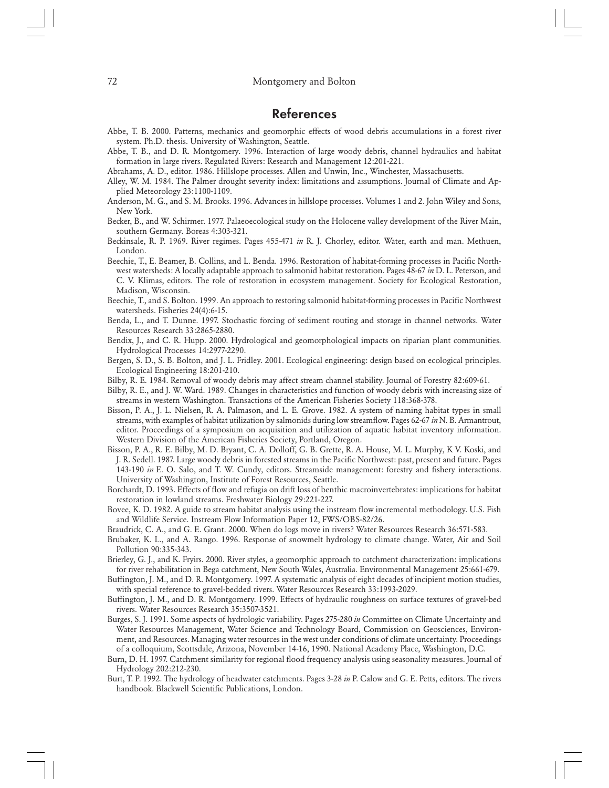# References

- Abbe, T. B. 2000. Patterns, mechanics and geomorphic effects of wood debris accumulations in a forest river system. Ph.D. thesis. University of Washington, Seattle.
- Abbe, T. B., and D. R. Montgomery. 1996. Interaction of large woody debris, channel hydraulics and habitat formation in large rivers. Regulated Rivers: Research and Management 12:201-221.
- Abrahams, A. D., editor. 1986. Hillslope processes. Allen and Unwin, Inc., Winchester, Massachusetts.
- Alley, W. M. 1984. The Palmer drought severity index: limitations and assumptions. Journal of Climate and Applied Meteorology 23:1100-1109.
- Anderson, M. G., and S. M. Brooks. 1996. Advances in hillslope processes. Volumes 1 and 2. John Wiley and Sons, New York.
- Becker, B., and W. Schirmer. 1977. Palaeoecological study on the Holocene valley development of the River Main, southern Germany. Boreas 4:303-321.
- Beckinsale, R. P. 1969. River regimes. Pages 455-471 *in* R. J. Chorley, editor. Water, earth and man. Methuen, London.
- Beechie, T., E. Beamer, B. Collins, and L. Benda. 1996. Restoration of habitat-forming processes in Pacific Northwest watersheds: A locally adaptable approach to salmonid habitat restoration. Pages 48-67 *in* D. L. Peterson, and C. V. Klimas, editors. The role of restoration in ecosystem management. Society for Ecological Restoration, Madison, Wisconsin.
- Beechie, T., and S. Bolton. 1999. An approach to restoring salmonid habitat-forming processes in Pacific Northwest watersheds. Fisheries 24(4):6-15.
- Benda, L., and T. Dunne. 1997. Stochastic forcing of sediment routing and storage in channel networks. Water Resources Research 33:2865-2880.
- Bendix, J., and C. R. Hupp. 2000. Hydrological and geomorphological impacts on riparian plant communities. Hydrological Processes 14:2977-2290.
- Bergen, S. D., S. B. Bolton, and J. L. Fridley. 2001. Ecological engineering: design based on ecological principles. Ecological Engineering 18:201-210.
- Bilby, R. E. 1984. Removal of woody debris may affect stream channel stability. Journal of Forestry 82:609-61.
- Bilby, R. E., and J. W. Ward. 1989. Changes in characteristics and function of woody debris with increasing size of streams in western Washington. Transactions of the American Fisheries Society 118:368-378.
- Bisson, P. A., J. L. Nielsen, R. A. Palmason, and L. E. Grove. 1982. A system of naming habitat types in small streams, with examples of habitat utilization by salmonids during low streamflow. Pages 62-67 *in* N. B. Armantrout, editor. Proceedings of a symposium on acquisition and utilization of aquatic habitat inventory information. Western Division of the American Fisheries Society, Portland, Oregon.
- Bisson, P. A., R. E. Bilby, M. D. Bryant, C. A. Dolloff, G. B. Grette, R. A. House, M. L. Murphy, K V. Koski, and J. R. Sedell. 1987. Large woody debris in forested streams in the Pacific Northwest: past, present and future. Pages 143-190 *in* E. O. Salo, and T. W. Cundy, editors. Streamside management: forestry and fishery interactions. University of Washington, Institute of Forest Resources, Seattle.
- Borchardt, D. 1993. Effects of flow and refugia on drift loss of benthic macroinvertebrates: implications for habitat restoration in lowland streams. Freshwater Biology 29:221-227.
- Bovee, K. D. 1982. A guide to stream habitat analysis using the instream flow incremental methodology. U.S. Fish and Wildlife Service. Instream Flow Information Paper 12, FWS/OBS-82/26.
- Braudrick, C. A., and G. E. Grant. 2000. When do logs move in rivers? Water Resources Research 36:571-583.
- Brubaker, K. L., and A. Rango. 1996. Response of snowmelt hydrology to climate change. Water, Air and Soil Pollution 90:335-343.
- Brierley, G. J., and K. Fryirs. 2000. River styles, a geomorphic approach to catchment characterization: implications for river rehabilitation in Bega catchment, New South Wales, Australia. Environmental Management 25:661-679.
- Buffington, J. M., and D. R. Montgomery. 1997. A systematic analysis of eight decades of incipient motion studies, with special reference to gravel-bedded rivers. Water Resources Research 33:1993-2029.
- Buffington, J. M., and D. R. Montgomery. 1999. Effects of hydraulic roughness on surface textures of gravel-bed rivers. Water Resources Research 35:3507-3521.
- Burges, S. J. 1991. Some aspects of hydrologic variability. Pages 275-280 *in* Committee on Climate Uncertainty and Water Resources Management, Water Science and Technology Board, Commission on Geosciences, Environment, and Resources. Managing water resources in the west under conditions of climate uncertainty. Proceedings of a colloquium, Scottsdale, Arizona, November 14-16, 1990. National Academy Place, Washington, D.C.
- Burn, D. H. 1997. Catchment similarity for regional flood frequency analysis using seasonality measures. Journal of Hydrology 202:212-230.
- Burt, T. P. 1992. The hydrology of headwater catchments. Pages 3-28 *in* P. Calow and G. E. Petts, editors. The rivers handbook. Blackwell Scientific Publications, London.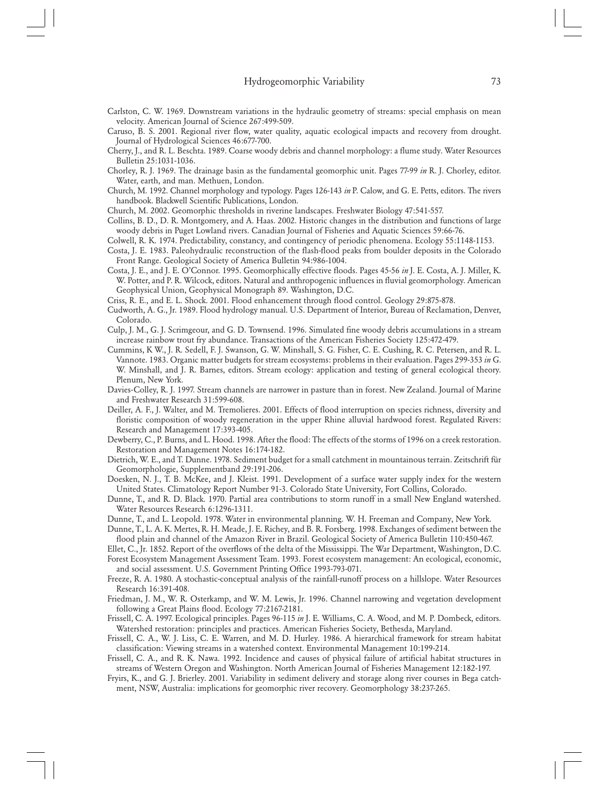- Carlston, C. W. 1969. Downstream variations in the hydraulic geometry of streams: special emphasis on mean velocity. American Journal of Science 267:499-509.
- Caruso, B. S. 2001. Regional river flow, water quality, aquatic ecological impacts and recovery from drought. Journal of Hydrological Sciences 46:677-700.
- Cherry, J., and R. L. Beschta. 1989. Coarse woody debris and channel morphology: a flume study. Water Resources Bulletin 25:1031-1036.
- Chorley, R. J. 1969. The drainage basin as the fundamental geomorphic unit. Pages 77-99 *in* R. J. Chorley, editor. Water, earth, and man. Methuen, London.
- Church, M. 1992. Channel morphology and typology. Pages 126-143 *in* P. Calow, and G. E. Petts, editors. The rivers handbook. Blackwell Scientific Publications, London.

Church, M. 2002. Geomorphic thresholds in riverine landscapes. Freshwater Biology 47:541-557.

- Collins, B. D., D. R. Montgomery, and A. Haas. 2002. Historic changes in the distribution and functions of large woody debris in Puget Lowland rivers. Canadian Journal of Fisheries and Aquatic Sciences 59:66-76.
- Colwell, R. K. 1974. Predictability, constancy, and contingency of periodic phenomena. Ecology 55:1148-1153.
- Costa, J. E. 1983. Paleohydraulic reconstruction of the flash-flood peaks from boulder deposits in the Colorado Front Range. Geological Society of America Bulletin 94:986-1004.
- Costa, J. E., and J. E. O'Connor. 1995. Geomorphically effective floods. Pages 45-56 *in* J. E. Costa, A. J. Miller, K. W. Potter, and P. R. Wilcock, editors. Natural and anthropogenic influences in fluvial geomorphology. American Geophysical Union, Geophysical Monograph 89. Washington, D.C.
- Criss, R. E., and E. L. Shock. 2001. Flood enhancement through flood control. Geology 29:875-878.
- Cudworth, A. G., Jr. 1989. Flood hydrology manual. U.S. Department of Interior, Bureau of Reclamation, Denver, Colorado.
- Culp, J. M., G. J. Scrimgeour, and G. D. Townsend. 1996. Simulated fine woody debris accumulations in a stream increase rainbow trout fry abundance. Transactions of the American Fisheries Society 125:472-479.
- Cummins, K W., J. R. Sedell, F. J. Swanson, G. W. Minshall, S. G. Fisher, C. E. Cushing, R. C. Petersen, and R. L. Vannote. 1983. Organic matter budgets for stream ecosystems: problems in their evaluation. Pages 299-353 *in* G. W. Minshall, and J. R. Barnes, editors. Stream ecology: application and testing of general ecological theory. Plenum, New York.
- Davies-Colley, R. J. 1997. Stream channels are narrower in pasture than in forest. New Zealand. Journal of Marine and Freshwater Research 31:599-608.
- Deiller, A. F., J. Walter, and M. Tremolieres. 2001. Effects of flood interruption on species richness, diversity and floristic composition of woody regeneration in the upper Rhine alluvial hardwood forest. Regulated Rivers: Research and Management 17:393-405.
- Dewberry, C., P. Burns, and L. Hood. 1998. After the flood: The effects of the storms of 1996 on a creek restoration. Restoration and Management Notes 16:174-182.
- Dietrich, W. E., and T. Dunne. 1978. Sediment budget for a small catchment in mountainous terrain. Zeitschrift für Geomorphologie, Supplementband 29:191-206.
- Doesken, N. J., T. B. McKee, and J. Kleist. 1991. Development of a surface water supply index for the western United States. Climatology Report Number 91-3. Colorado State University, Fort Collins, Colorado.
- Dunne, T., and R. D. Black. 1970. Partial area contributions to storm runoff in a small New England watershed. Water Resources Research 6:1296-1311.
- Dunne, T., and L. Leopold. 1978. Water in environmental planning. W. H. Freeman and Company, New York.
- Dunne, T., L. A. K. Mertes, R. H. Meade, J. E. Richey, and B. R. Forsberg. 1998. Exchanges of sediment between the flood plain and channel of the Amazon River in Brazil. Geological Society of America Bulletin 110:450-467.
- Ellet, C., Jr. 1852. Report of the overflows of the delta of the Mississippi. The War Department, Washington, D.C.
- Forest Ecosystem Management Assessment Team. 1993. Forest ecosystem management: An ecological, economic, and social assessment. U.S. Government Printing Office 1993-793-071.
- Freeze, R. A. 1980. A stochastic-conceptual analysis of the rainfall-runoff process on a hillslope. Water Resources Research 16:391-408.
- Friedman, J. M., W. R. Osterkamp, and W. M. Lewis, Jr. 1996. Channel narrowing and vegetation development following a Great Plains flood. Ecology 77:2167-2181.
- Frissell, C. A. 1997. Ecological principles. Pages 96-115 *in* J. E. Williams, C. A. Wood, and M. P. Dombeck, editors. Watershed restoration: principles and practices. American Fisheries Society, Bethesda, Maryland.
- Frissell, C. A., W. J. Liss, C. E. Warren, and M. D. Hurley. 1986. A hierarchical framework for stream habitat classification: Viewing streams in a watershed context. Environmental Management 10:199-214.
- Frissell, C. A., and R. K. Nawa. 1992. Incidence and causes of physical failure of artificial habitat structures in streams of Western Oregon and Washington. North American Journal of Fisheries Management 12:182-197.
- Fryirs, K., and G. J. Brierley. 2001. Variability in sediment delivery and storage along river courses in Bega catchment, NSW, Australia: implications for geomorphic river recovery. Geomorphology 38:237-265.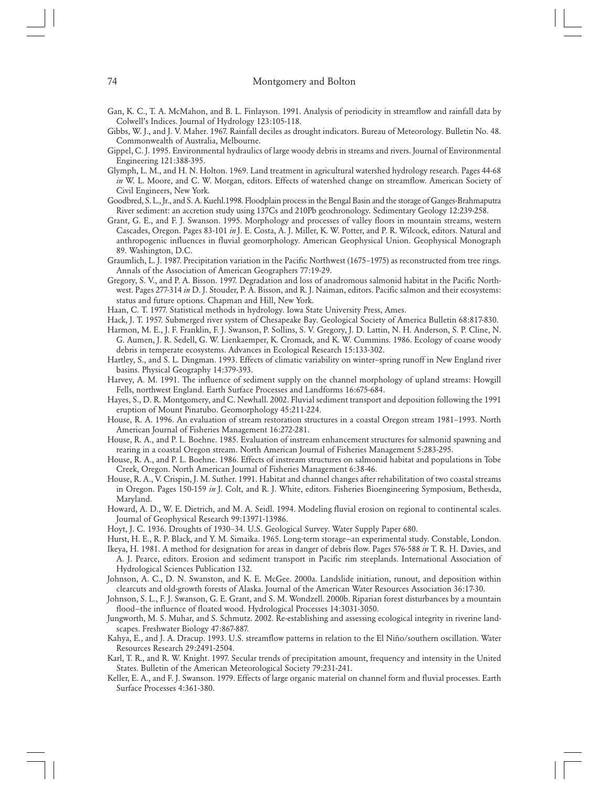- Gan, K. C., T. A. McMahon, and B. L. Finlayson. 1991. Analysis of periodicity in streamflow and rainfall data by Colwell's Indices. Journal of Hydrology 123:105-118.
- Gibbs, W. J., and J. V. Maher. 1967. Rainfall deciles as drought indicators. Bureau of Meteorology. Bulletin No. 48. Commonwealth of Australia, Melbourne.
- Gippel, C. J. 1995. Environmental hydraulics of large woody debris in streams and rivers. Journal of Environmental Engineering 121:388-395.
- Glymph, L. M., and H. N. Holton. 1969. Land treatment in agricultural watershed hydrology research. Pages 44-68 *in* W. L. Moore, and C. W. Morgan, editors. Effects of watershed change on streamflow. American Society of Civil Engineers, New York.
- Goodbred, S. L., Jr., and S. A. Kuehl.1998. Floodplain process in the Bengal Basin and the storage of Ganges-Brahmaputra River sediment: an accretion study using 137Cs and 210Pb geochronology. Sedimentary Geology 12:239-258.
- Grant, G. E., and F. J. Swanson. 1995. Morphology and processes of valley floors in mountain streams, western Cascades, Oregon. Pages 83-101 *in* J. E. Costa, A. J. Miller, K. W. Potter, and P. R. Wilcock, editors. Natural and anthropogenic influences in fluvial geomorphology. American Geophysical Union. Geophysical Monograph 89. Washington, D.C.
- Graumlich, L. J. 1987. Precipitation variation in the Pacific Northwest (1675–1975) as reconstructed from tree rings. Annals of the Association of American Geographers 77:19-29.
- Gregory, S. V., and P. A. Bisson. 1997. Degradation and loss of anadromous salmonid habitat in the Pacific Northwest. Pages 277-314 *in* D. J. Stouder, P. A. Bisson, and R. J. Naiman, editors. Pacific salmon and their ecosystems: status and future options. Chapman and Hill, New York.
- Haan, C. T. 1977. Statistical methods in hydrology. Iowa State University Press, Ames.
- Hack, J. T. 1957. Submerged river system of Chesapeake Bay. Geological Society of America Bulletin 68:817-830.
- Harmon, M. E., J. F. Franklin, F. J. Swanson, P. Sollins, S. V. Gregory, J. D. Lattin, N. H. Anderson, S. P. Cline, N. G. Aumen, J. R. Sedell, G. W. Lienkaemper, K. Cromack, and K. W. Cummins. 1986. Ecology of coarse woody debris in temperate ecosystems. Advances in Ecological Research 15:133-302.
- Hartley, S., and S. L. Dingman. 1993. Effects of climatic variability on winter–spring runoff in New England river basins. Physical Geography 14:379-393.
- Harvey, A. M. 1991. The influence of sediment supply on the channel morphology of upland streams: Howgill Fells, northwest England. Earth Surface Processes and Landforms 16:675-684.
- Hayes, S., D. R. Montgomery, and C. Newhall. 2002. Fluvial sediment transport and deposition following the 1991 eruption of Mount Pinatubo. Geomorphology 45:211-224.
- House, R. A. 1996. An evaluation of stream restoration structures in a coastal Oregon stream 1981–1993. North American Journal of Fisheries Management 16:272-281.
- House, R. A., and P. L. Boehne. 1985. Evaluation of instream enhancement structures for salmonid spawning and rearing in a coastal Oregon stream. North American Journal of Fisheries Management 5:283-295.
- House, R. A., and P. L. Boehne. 1986. Effects of instream structures on salmonid habitat and populations in Tobe Creek, Oregon. North American Journal of Fisheries Management 6:38-46.
- House, R. A., V. Crispin, J. M. Suther. 1991. Habitat and channel changes after rehabilitation of two coastal streams in Oregon. Pages 150-159 *in* J. Colt, and R. J. White, editors. Fisheries Bioengineering Symposium, Bethesda, Maryland.
- Howard, A. D., W. E. Dietrich, and M. A. Seidl. 1994. Modeling fluvial erosion on regional to continental scales. Journal of Geophysical Research 99:13971-13986.
- Hoyt, J. C. 1936. Droughts of 1930–34. U.S. Geological Survey. Water Supply Paper 680.
- Hurst, H. E., R. P. Black, and Y. M. Simaika. 1965. Long-term storage—an experimental study. Constable, London.
- Ikeya, H. 1981. A method for designation for areas in danger of debris flow. Pages 576-588 *in* T. R. H. Davies, and A. J. Pearce, editors. Erosion and sediment transport in Pacific rim steeplands. International Association of Hydrological Sciences Publication 132.
- Johnson, A. C., D. N. Swanston, and K. E. McGee. 2000a. Landslide initiation, runout, and deposition within clearcuts and old-growth forests of Alaska. Journal of the American Water Resources Association 36:17-30.
- Johnson, S. L., F. J. Swanson, G. E. Grant, and S. M. Wondzell. 2000b. Riparian forest disturbances by a mountain flood—the influence of floated wood. Hydrological Processes 14:3031-3050.
- Jungworth, M. S. Muhar, and S. Schmutz. 2002. Re-establishing and assessing ecological integrity in riverine landscapes. Freshwater Biology 47:867-887.
- Kahya, E., and J. A. Dracup. 1993. U.S. streamflow patterns in relation to the El Niño/southern oscillation. Water Resources Research 29:2491-2504.
- Karl, T. R., and R. W. Knight. 1997. Secular trends of precipitation amount, frequency and intensity in the United States. Bulletin of the American Meteorological Society 79:231-241.
- Keller, E. A., and F. J. Swanson. 1979. Effects of large organic material on channel form and fluvial processes. Earth Surface Processes 4:361-380.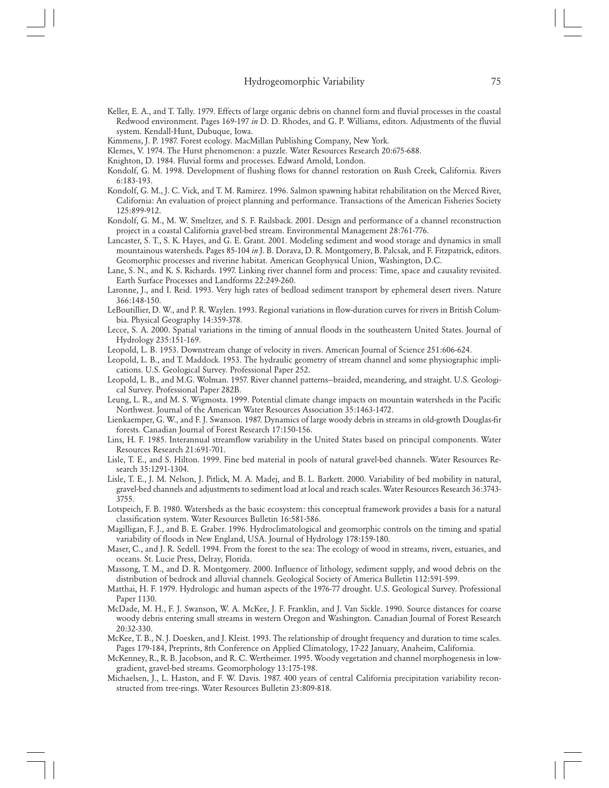- Keller, E. A., and T. Tally. 1979. Effects of large organic debris on channel form and fluvial processes in the coastal Redwood environment. Pages 169-197 *in* D. D. Rhodes, and G. P. Williams, editors. Adjustments of the fluvial system. Kendall-Hunt, Dubuque, Iowa.
- Kimmens, J. P. 1987. Forest ecology. MacMillan Publishing Company, New York.
- Klemes, V. 1974. The Hurst phenomenon: a puzzle. Water Resources Research 20:675-688.
- Knighton, D. 1984. Fluvial forms and processes. Edward Arnold, London.
- Kondolf, G. M. 1998. Development of flushing flows for channel restoration on Rush Creek, California. Rivers 6:183-193.
- Kondolf, G. M., J. C. Vick, and T. M. Ramirez. 1996. Salmon spawning habitat rehabilitation on the Merced River, California: An evaluation of project planning and performance. Transactions of the American Fisheries Society 125:899-912.
- Kondolf, G. M., M. W. Smeltzer, and S. F. Railsback. 2001. Design and performance of a channel reconstruction project in a coastal California gravel-bed stream. Environmental Management 28:761-776.
- Lancaster, S. T., S. K. Hayes, and G. E. Grant. 2001. Modeling sediment and wood storage and dynamics in small mountainous watersheds. Pages 85-104 *in* J. B. Dorava, D. R. Montgomery, B. Palcsak, and F. Fitzpatrick, editors. Geomorphic processes and riverine habitat. American Geophysical Union, Washington, D.C.
- Lane, S. N., and K. S. Richards. 1997. Linking river channel form and process: Time, space and causality revisited. Earth Surface Processes and Landforms 22:249-260.
- Laronne, J., and I. Reid. 1993. Very high rates of bedload sediment transport by ephemeral desert rivers. Nature 366:148-150.
- LeBoutillier, D. W., and P. R. Waylen. 1993. Regional variations in flow-duration curves for rivers in British Columbia. Physical Geography 14:359-378.
- Lecce, S. A. 2000. Spatial variations in the timing of annual floods in the southeastern United States. Journal of Hydrology 235:151-169.
- Leopold, L. B. 1953. Downstream change of velocity in rivers. American Journal of Science 251:606-624.
- Leopold, L. B., and T. Maddock. 1953. The hydraulic geometry of stream channel and some physiographic implications. U.S. Geological Survey. Professional Paper 252.
- Leopold, L. B., and M.G. Wolman. 1957. River channel patterns—braided, meandering, and straight. U.S. Geological Survey. Professional Paper 282B.
- Leung, L. R., and M. S. Wigmosta. 1999. Potential climate change impacts on mountain watersheds in the Pacific Northwest. Journal of the American Water Resources Association 35:1463-1472.
- Lienkaemper, G. W., and F. J. Swanson. 1987. Dynamics of large woody debris in streams in old-growth Douglas-fir forests. Canadian Journal of Forest Research 17:150-156.
- Lins, H. F. 1985. Interannual streamflow variability in the United States based on principal components. Water Resources Research 21:691-701.
- Lisle, T. E., and S. Hilton. 1999. Fine bed material in pools of natural gravel-bed channels. Water Resources Research 35:1291-1304.
- Lisle, T. E., J. M. Nelson, J. Pitlick, M. A. Madej, and B. L. Barkett. 2000. Variability of bed mobility in natural, gravel-bed channels and adjustments to sediment load at local and reach scales. Water Resources Research 36:3743- 3755.
- Lotspeich, F. B. 1980. Watersheds as the basic ecosystem: this conceptual framework provides a basis for a natural classification system. Water Resources Bulletin 16:581-586.
- Magilligan, F. J., and B. E. Graber. 1996. Hydroclimatological and geomorphic controls on the timing and spatial variability of floods in New England, USA. Journal of Hydrology 178:159-180.
- Maser, C., and J. R. Sedell. 1994. From the forest to the sea: The ecology of wood in streams, rivers, estuaries, and oceans. St. Lucie Press, Delray, Florida.
- Massong, T. M., and D. R. Montgomery. 2000. Influence of lithology, sediment supply, and wood debris on the distribution of bedrock and alluvial channels. Geological Society of America Bulletin 112:591-599.
- Matthai, H. F. 1979. Hydrologic and human aspects of the 1976-77 drought. U.S. Geological Survey. Professional Paper 1130.
- McDade, M. H., F. J. Swanson, W. A. McKee, J. F. Franklin, and J. Van Sickle. 1990. Source distances for coarse woody debris entering small streams in western Oregon and Washington. Canadian Journal of Forest Research 20:32-330.
- McKee, T. B., N. J. Doesken, and J. Kleist. 1993. The relationship of drought frequency and duration to time scales. Pages 179-184, Preprints, 8th Conference on Applied Climatology, 17-22 January, Anaheim, California.
- McKenney, R., R. B. Jacobson, and R. C. Wertheimer. 1995. Woody vegetation and channel morphogenesis in lowgradient, gravel-bed streams. Geomorphology 13:175-198.
- Michaelsen, J., L. Haston, and F. W. Davis. 1987. 400 years of central California precipitation variability reconstructed from tree-rings. Water Resources Bulletin 23:809-818.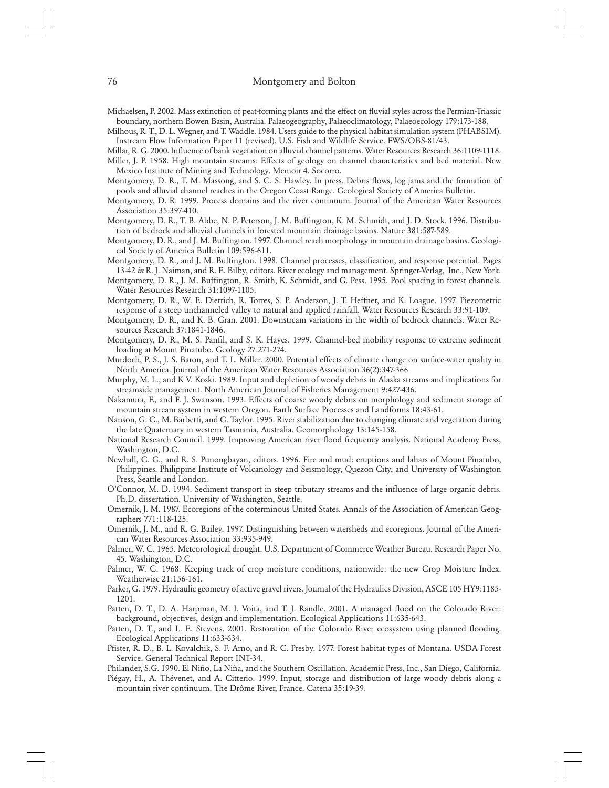Michaelsen, P. 2002. Mass extinction of peat-forming plants and the effect on fluvial styles across the Permian-Triassic boundary, northern Bowen Basin, Australia. Palaeogeography, Palaeoclimatology, Palaeoecology 179:173-188.

Milhous, R. T., D. L. Wegner, and T. Waddle. 1984. Users guide to the physical habitat simulation system (PHABSIM). Instream Flow Information Paper 11 (revised). U.S. Fish and Wildlife Service. FWS/OBS-81/43.

Millar, R. G. 2000. Influence of bank vegetation on alluvial channel patterns. Water Resources Research 36:1109-1118.

Miller, J. P. 1958. High mountain streams: Effects of geology on channel characteristics and bed material. New Mexico Institute of Mining and Technology. Memoir 4. Socorro.

Montgomery, D. R., T. M. Massong, and S. C. S. Hawley. In press. Debris flows, log jams and the formation of pools and alluvial channel reaches in the Oregon Coast Range. Geological Society of America Bulletin.

Montgomery, D. R. 1999. Process domains and the river continuum. Journal of the American Water Resources Association 35:397-410.

Montgomery, D. R., T. B. Abbe, N. P. Peterson, J. M. Buffington, K. M. Schmidt, and J. D. Stock. 1996. Distribution of bedrock and alluvial channels in forested mountain drainage basins. Nature 381:587-589.

Montgomery, D. R., and J. M. Buffington. 1997. Channel reach morphology in mountain drainage basins. Geological Society of America Bulletin 109:596-611.

Montgomery, D. R., and J. M. Buffington. 1998. Channel processes, classification, and response potential. Pages 13-42 *in* R. J. Naiman, and R. E. Bilby, editors. River ecology and management. Springer-Verlag, Inc., New York.

Montgomery, D. R., J. M. Buffington, R. Smith, K. Schmidt, and G. Pess. 1995. Pool spacing in forest channels. Water Resources Research 31:1097-1105.

Montgomery, D. R., W. E. Dietrich, R. Torres, S. P. Anderson, J. T. Heffner, and K. Loague. 1997. Piezometric response of a steep unchanneled valley to natural and applied rainfall. Water Resources Research 33:91-109.

- Montgomery, D. R., and K. B. Gran. 2001. Downstream variations in the width of bedrock channels. Water Resources Research 37:1841-1846.
- Montgomery, D. R., M. S. Panfil, and S. K. Hayes. 1999. Channel-bed mobility response to extreme sediment loading at Mount Pinatubo. Geology 27:271-274.

Murdoch, P. S., J. S. Baron, and T. L. Miller. 2000. Potential effects of climate change on surface-water quality in North America. Journal of the American Water Resources Association 36(2):347-366

Murphy, M. L., and K V. Koski. 1989. Input and depletion of woody debris in Alaska streams and implications for streamside management. North American Journal of Fisheries Management 9:427-436.

Nakamura, F., and F. J. Swanson. 1993. Effects of coarse woody debris on morphology and sediment storage of mountain stream system in western Oregon. Earth Surface Processes and Landforms 18:43-61.

Nanson, G. C., M. Barbetti, and G. Taylor. 1995. River stabilization due to changing climate and vegetation during the late Quaternary in western Tasmania, Australia. Geomorphology 13:145-158.

National Research Council. 1999. Improving American river flood frequency analysis. National Academy Press, Washington, D.C.

Newhall, C. G., and R. S. Punongbayan, editors. 1996. Fire and mud: eruptions and lahars of Mount Pinatubo, Philippines. Philippine Institute of Volcanology and Seismology, Quezon City, and University of Washington Press, Seattle and London.

O'Connor, M. D. 1994. Sediment transport in steep tributary streams and the influence of large organic debris. Ph.D. dissertation. University of Washington, Seattle.

Omernik, J. M. 1987. Ecoregions of the coterminous United States. Annals of the Association of American Geographers 771:118-125.

Omernik, J. M., and R. G. Bailey. 1997. Distinguishing between watersheds and ecoregions. Journal of the American Water Resources Association 33:935-949.

- Palmer, W. C. 1965. Meteorological drought. U.S. Department of Commerce Weather Bureau. Research Paper No. 45. Washington, D.C.
- Palmer, W. C. 1968. Keeping track of crop moisture conditions, nationwide: the new Crop Moisture Index. Weatherwise 21:156-161.

Parker, G. 1979. Hydraulic geometry of active gravel rivers. Journal of the Hydraulics Division, ASCE 105 HY9:1185- 1201.

Patten, D. T., D. A. Harpman, M. I. Voita, and T. J. Randle. 2001. A managed flood on the Colorado River: background, objectives, design and implementation. Ecological Applications 11:635-643.

Patten, D. T., and L. E. Stevens. 2001. Restoration of the Colorado River ecosystem using planned flooding. Ecological Applications 11:633-634.

- Pfister, R. D., B. L. Kovalchik, S. F. Arno, and R. C. Presby. 1977. Forest habitat types of Montana. USDA Forest Service. General Technical Report INT-34.
- Philander, S.G. 1990. El Niño, La Niña, and the Southern Oscillation. Academic Press, Inc., San Diego, California.
- Piégay, H., A. Thévenet, and A. Citterio. 1999. Input, storage and distribution of large woody debris along a mountain river continuum. The Drôme River, France. Catena 35:19-39.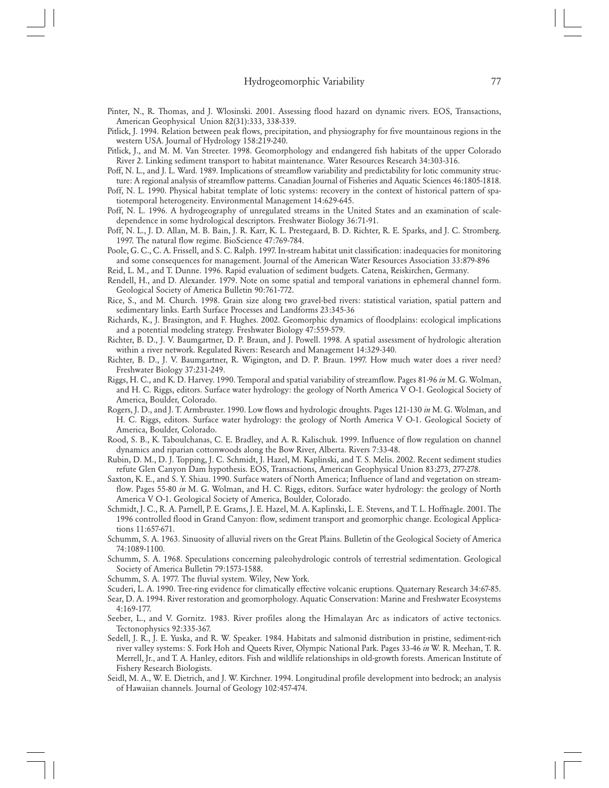Pinter, N., R. Thomas, and J. Wlosinski. 2001. Assessing flood hazard on dynamic rivers. EOS, Transactions, American Geophysical Union 82(31):333, 338-339.

Pitlick, J. 1994. Relation between peak flows, precipitation, and physiography for five mountainous regions in the western USA. Journal of Hydrology 158:219-240.

- Pitlick, J., and M. M. Van Streeter. 1998. Geomorphology and endangered fish habitats of the upper Colorado River 2. Linking sediment transport to habitat maintenance. Water Resources Research 34:303-316.
- Poff, N. L., and J. L. Ward. 1989. Implications of streamflow variability and predictability for lotic community structure: A regional analysis of streamflow patterns. Canadian Journal of Fisheries and Aquatic Sciences 46:1805-1818.
- Poff, N. L. 1990. Physical habitat template of lotic systems: recovery in the context of historical pattern of spatiotemporal heterogeneity. Environmental Management 14:629-645.
- Poff, N. L. 1996. A hydrogeography of unregulated streams in the United States and an examination of scaledependence in some hydrological descriptors. Freshwater Biology 36:71-91.
- Poff, N. L., J. D. Allan, M. B. Bain, J. R. Karr, K. L. Prestegaard, B. D. Richter, R. E. Sparks, and J. C. Stromberg. 1997. The natural flow regime. BioScience 47:769-784.
- Poole, G. C., C. A. Frissell, and S. C. Ralph. 1997. In-stream habitat unit classification: inadequacies for monitoring and some consequences for management. Journal of the American Water Resources Association 33:879-896
- Reid, L. M., and T. Dunne. 1996. Rapid evaluation of sediment budgets. Catena, Reiskirchen, Germany.
- Rendell, H., and D. Alexander. 1979. Note on some spatial and temporal variations in ephemeral channel form. Geological Society of America Bulletin 90:761-772.
- Rice, S., and M. Church. 1998. Grain size along two gravel-bed rivers: statistical variation, spatial pattern and sedimentary links. Earth Surface Processes and Landforms 23:345-36
- Richards, K., J. Brasington, and F. Hughes. 2002. Geomorphic dynamics of floodplains: ecological implications and a potential modeling strategy. Freshwater Biology 47:559-579.
- Richter, B. D., J. V. Baumgartner, D. P. Braun, and J. Powell. 1998. A spatial assessment of hydrologic alteration within a river network. Regulated Rivers: Research and Management 14:329-340.
- Richter, B. D., J. V. Baumgartner, R. Wigington, and D. P. Braun. 1997. How much water does a river need? Freshwater Biology 37:231-249.
- Riggs, H. C., and K. D. Harvey. 1990. Temporal and spatial variability of streamflow. Pages 81-96 *in* M. G. Wolman, and H. C. Riggs, editors. Surface water hydrology: the geology of North America V O-1. Geological Society of America, Boulder, Colorado.
- Rogers, J. D., and J. T. Armbruster. 1990. Low flows and hydrologic droughts. Pages 121-130 *in* M. G. Wolman, and H. C. Riggs, editors. Surface water hydrology: the geology of North America V O-1. Geological Society of America, Boulder, Colorado.
- Rood, S. B., K. Taboulchanas, C. E. Bradley, and A. R. Kalischuk. 1999. Influence of flow regulation on channel dynamics and riparian cottonwoods along the Bow River, Alberta. Rivers 7:33-48.
- Rubin, D. M., D. J. Topping, J. C. Schmidt, J. Hazel, M. Kaplinski, and T. S. Melis. 2002. Recent sediment studies refute Glen Canyon Dam hypothesis. EOS, Transactions, American Geophysical Union 83:273, 277-278.
- Saxton, K. E., and S. Y. Shiau. 1990. Surface waters of North America; Influence of land and vegetation on streamflow. Pages 55-80 *in* M. G. Wolman, and H. C. Riggs, editors. Surface water hydrology: the geology of North America V O-1. Geological Society of America, Boulder, Colorado.
- Schmidt, J. C., R. A. Parnell, P. E. Grams, J. E. Hazel, M. A. Kaplinski, L. E. Stevens, and T. L. Hoffnagle. 2001. The 1996 controlled flood in Grand Canyon: flow, sediment transport and geomorphic change. Ecological Applications 11:657-671.
- Schumm, S. A. 1963. Sinuosity of alluvial rivers on the Great Plains. Bulletin of the Geological Society of America 74:1089-1100.
- Schumm, S. A. 1968. Speculations concerning paleohydrologic controls of terrestrial sedimentation. Geological Society of America Bulletin 79:1573-1588.
- Schumm, S. A. 1977. The fluvial system. Wiley, New York.
- Scuderi, L. A. 1990. Tree-ring evidence for climatically effective volcanic eruptions. Quaternary Research 34:67-85.

Sear, D. A. 1994. River restoration and geomorphology. Aquatic Conservation: Marine and Freshwater Ecosystems 4:169-177.

- Seeber, L., and V. Gornitz. 1983. River profiles along the Himalayan Arc as indicators of active tectonics. Tectonophysics 92:335-367.
- Sedell, J. R., J. E. Yuska, and R. W. Speaker. 1984. Habitats and salmonid distribution in pristine, sediment-rich river valley systems: S. Fork Hoh and Queets River, Olympic National Park. Pages 33-46 *in* W. R. Meehan, T. R. Merrell, Jr., and T. A. Hanley, editors. Fish and wildlife relationships in old-growth forests. American Institute of Fishery Research Biologists.
- Seidl, M. A., W. E. Dietrich, and J. W. Kirchner. 1994. Longitudinal profile development into bedrock; an analysis of Hawaiian channels. Journal of Geology 102:457-474.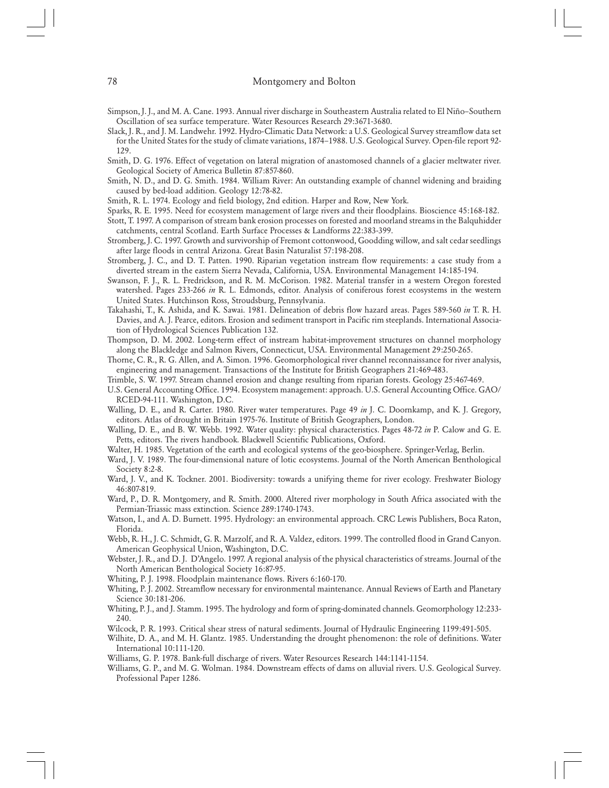- Simpson, J. J., and M. A. Cane. 1993. Annual river discharge in Southeastern Australia related to El Niño–Southern Oscillation of sea surface temperature. Water Resources Research 29:3671-3680.
- Slack, J. R., and J. M. Landwehr. 1992. Hydro-Climatic Data Network: a U.S. Geological Survey streamflow data set for the United States for the study of climate variations, 1874–1988. U.S. Geological Survey. Open-file report 92- 129.

Smith, D. G. 1976. Effect of vegetation on lateral migration of anastomosed channels of a glacier meltwater river. Geological Society of America Bulletin 87:857-860.

- Smith, N. D., and D. G. Smith. 1984. William River: An outstanding example of channel widening and braiding caused by bed-load addition. Geology 12:78-82.
- Smith, R. L. 1974. Ecology and field biology, 2nd edition. Harper and Row, New York.
- Sparks, R. E. 1995. Need for ecosystem management of large rivers and their floodplains. Bioscience 45:168-182.

Stott, T. 1997. A comparison of stream bank erosion processes on forested and moorland streams in the Balquhidder catchments, central Scotland. Earth Surface Processes & Landforms 22:383-399.

- Stromberg, J. C. 1997. Growth and survivorship of Fremont cottonwood, Goodding willow, and salt cedar seedlings after large floods in central Arizona. Great Basin Naturalist 57:198-208.
- Stromberg, J. C., and D. T. Patten. 1990. Riparian vegetation instream flow requirements: a case study from a diverted stream in the eastern Sierra Nevada, California, USA. Environmental Management 14:185-194.
- Swanson, F. J., R. L. Fredrickson, and R. M. McCorison. 1982. Material transfer in a western Oregon forested watershed. Pages 233-266 *in* R. L. Edmonds, editor. Analysis of coniferous forest ecosystems in the western United States. Hutchinson Ross, Stroudsburg, Pennsylvania.
- Takahashi, T., K. Ashida, and K. Sawai. 1981. Delineation of debris flow hazard areas. Pages 589-560 *in* T. R. H. Davies, and A. J. Pearce, editors. Erosion and sediment transport in Pacific rim steeplands. International Association of Hydrological Sciences Publication 132.
- Thompson, D. M. 2002. Long-term effect of instream habitat-improvement structures on channel morphology along the Blackledge and Salmon Rivers, Connecticut, USA. Environmental Management 29:250-265.
- Thorne, C. R., R. G. Allen, and A. Simon. 1996. Geomorphological river channel reconnaissance for river analysis, engineering and management. Transactions of the Institute for British Geographers 21:469-483.
- Trimble, S. W. 1997. Stream channel erosion and change resulting from riparian forests. Geology 25:467-469.
- U.S. General Accounting Office. 1994. Ecosystem management: approach. U.S. General Accounting Office. GAO/ RCED-94-111. Washington, D.C.
- Walling, D. E., and R. Carter. 1980. River water temperatures. Page 49 *in* J. C. Doornkamp, and K. J. Gregory, editors. Atlas of drought in Britain 1975-76. Institute of British Geographers, London.
- Walling, D. E., and B. W. Webb. 1992. Water quality: physical characteristics. Pages 48-72 *in* P. Calow and G. E. Petts, editors. The rivers handbook. Blackwell Scientific Publications, Oxford.
- Walter, H. 1985. Vegetation of the earth and ecological systems of the geo-biosphere. Springer-Verlag, Berlin.
- Ward, J. V. 1989. The four-dimensional nature of lotic ecosystems. Journal of the North American Benthological Society 8:2-8.
- Ward, J. V., and K. Tockner. 2001. Biodiversity: towards a unifying theme for river ecology. Freshwater Biology 46:807-819.
- Ward, P., D. R. Montgomery, and R. Smith. 2000. Altered river morphology in South Africa associated with the Permian-Triassic mass extinction. Science 289:1740-1743.
- Watson, I., and A. D. Burnett. 1995. Hydrology: an environmental approach. CRC Lewis Publishers, Boca Raton, Florida.
- Webb, R. H., J. C. Schmidt, G. R. Marzolf, and R. A. Valdez, editors. 1999. The controlled flood in Grand Canyon. American Geophysical Union, Washington, D.C.
- Webster, J. R., and D. J. D'Angelo. 1997. A regional analysis of the physical characteristics of streams. Journal of the North American Benthological Society 16:87-95.
- Whiting, P. J. 1998. Floodplain maintenance flows. Rivers 6:160-170.
- Whiting, P. J. 2002. Streamflow necessary for environmental maintenance. Annual Reviews of Earth and Planetary Science 30:181-206.
- Whiting, P. J., and J. Stamm. 1995. The hydrology and form of spring-dominated channels. Geomorphology 12:233- 240.
- Wilcock, P. R. 1993. Critical shear stress of natural sediments. Journal of Hydraulic Engineering 1199:491-505.
- Wilhite, D. A., and M. H. Glantz. 1985. Understanding the drought phenomenon: the role of definitions. Water International 10:111-120.
- Williams, G. P. 1978. Bank-full discharge of rivers. Water Resources Research 144:1141-1154.
- Williams, G. P., and M. G. Wolman. 1984. Downstream effects of dams on alluvial rivers. U.S. Geological Survey. Professional Paper 1286.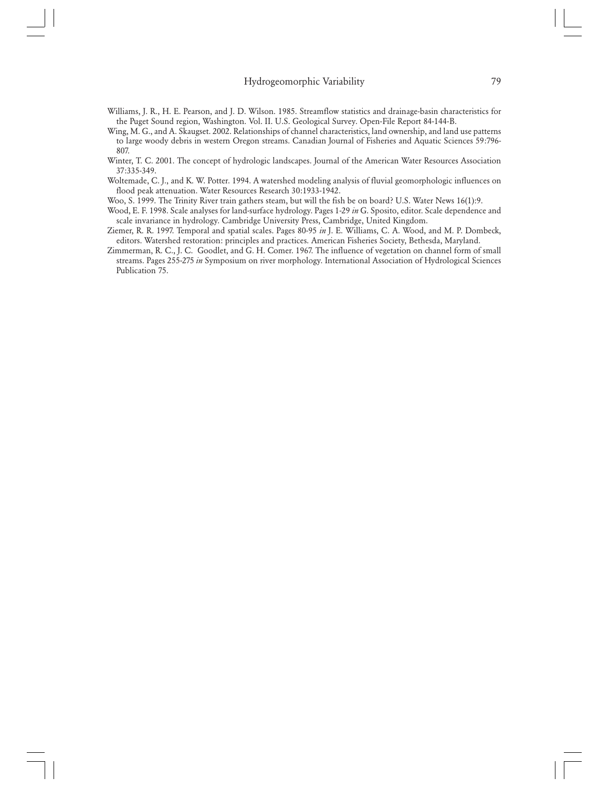- Williams, J. R., H. E. Pearson, and J. D. Wilson. 1985. Streamflow statistics and drainage-basin characteristics for the Puget Sound region, Washington. Vol. II. U.S. Geological Survey. Open-File Report 84-144-B.
- Wing, M. G., and A. Skaugset. 2002. Relationships of channel characteristics, land ownership, and land use patterns to large woody debris in western Oregon streams. Canadian Journal of Fisheries and Aquatic Sciences 59:796- 807.
- Winter, T. C. 2001. The concept of hydrologic landscapes. Journal of the American Water Resources Association 37:335-349.
- Woltemade, C. J., and K. W. Potter. 1994. A watershed modeling analysis of fluvial geomorphologic influences on flood peak attenuation. Water Resources Research 30:1933-1942.
- Woo, S. 1999. The Trinity River train gathers steam, but will the fish be on board? U.S. Water News 16(1):9.
- Wood, E. F. 1998. Scale analyses for land-surface hydrology. Pages 1-29 *in* G. Sposito, editor. Scale dependence and scale invariance in hydrology. Cambridge University Press, Cambridge, United Kingdom.
- Ziemer, R. R. 1997. Temporal and spatial scales. Pages 80-95 *in* J. E. Williams, C. A. Wood, and M. P. Dombeck, editors. Watershed restoration: principles and practices. American Fisheries Society, Bethesda, Maryland.
- Zimmerman, R. C., J. C. Goodlet, and G. H. Comer. 1967. The influence of vegetation on channel form of small streams. Pages 255-275 *in* Symposium on river morphology. International Association of Hydrological Sciences Publication 75.